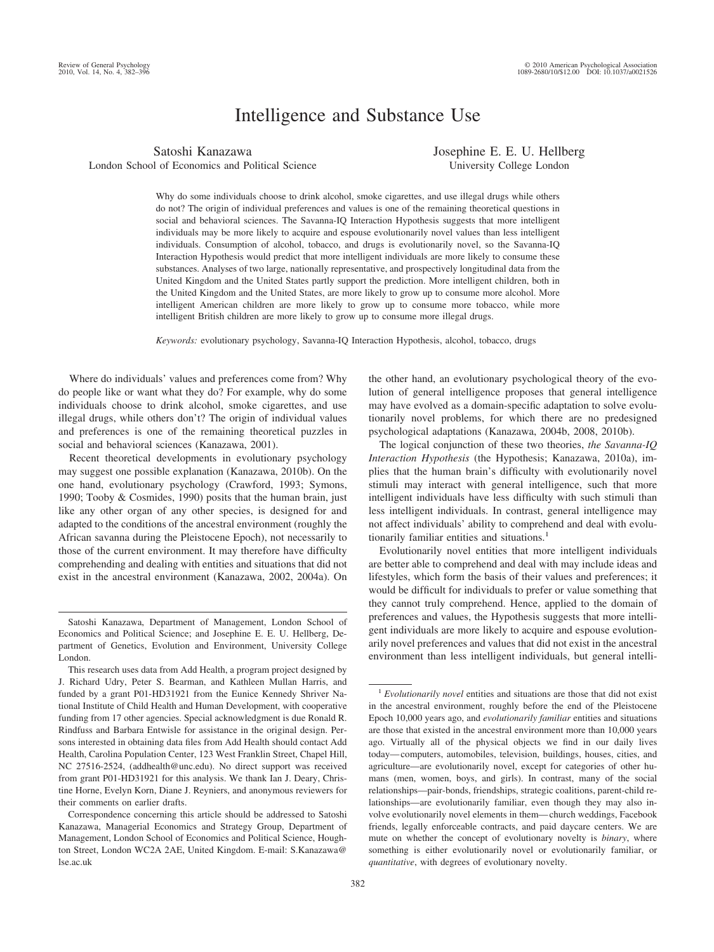# Intelligence and Substance Use

Satoshi Kanazawa London School of Economics and Political Science Josephine E. E. U. Hellberg University College London

Why do some individuals choose to drink alcohol, smoke cigarettes, and use illegal drugs while others do not? The origin of individual preferences and values is one of the remaining theoretical questions in social and behavioral sciences. The Savanna-IQ Interaction Hypothesis suggests that more intelligent individuals may be more likely to acquire and espouse evolutionarily novel values than less intelligent individuals. Consumption of alcohol, tobacco, and drugs is evolutionarily novel, so the Savanna-IQ Interaction Hypothesis would predict that more intelligent individuals are more likely to consume these substances. Analyses of two large, nationally representative, and prospectively longitudinal data from the United Kingdom and the United States partly support the prediction. More intelligent children, both in the United Kingdom and the United States, are more likely to grow up to consume more alcohol. More intelligent American children are more likely to grow up to consume more tobacco, while more intelligent British children are more likely to grow up to consume more illegal drugs.

*Keywords:* evolutionary psychology, Savanna-IQ Interaction Hypothesis, alcohol, tobacco, drugs

Where do individuals' values and preferences come from? Why do people like or want what they do? For example, why do some individuals choose to drink alcohol, smoke cigarettes, and use illegal drugs, while others don't? The origin of individual values and preferences is one of the remaining theoretical puzzles in social and behavioral sciences (Kanazawa, 2001).

Recent theoretical developments in evolutionary psychology may suggest one possible explanation (Kanazawa, 2010b). On the one hand, evolutionary psychology (Crawford, 1993; Symons, 1990; Tooby & Cosmides, 1990) posits that the human brain, just like any other organ of any other species, is designed for and adapted to the conditions of the ancestral environment (roughly the African savanna during the Pleistocene Epoch), not necessarily to those of the current environment. It may therefore have difficulty comprehending and dealing with entities and situations that did not exist in the ancestral environment (Kanazawa, 2002, 2004a). On the other hand, an evolutionary psychological theory of the evolution of general intelligence proposes that general intelligence may have evolved as a domain-specific adaptation to solve evolutionarily novel problems, for which there are no predesigned psychological adaptations (Kanazawa, 2004b, 2008, 2010b).

The logical conjunction of these two theories, *the Savanna-IQ Interaction Hypothesis* (the Hypothesis; Kanazawa, 2010a), implies that the human brain's difficulty with evolutionarily novel stimuli may interact with general intelligence, such that more intelligent individuals have less difficulty with such stimuli than less intelligent individuals. In contrast, general intelligence may not affect individuals' ability to comprehend and deal with evolutionarily familiar entities and situations.<sup>1</sup>

Evolutionarily novel entities that more intelligent individuals are better able to comprehend and deal with may include ideas and lifestyles, which form the basis of their values and preferences; it would be difficult for individuals to prefer or value something that they cannot truly comprehend. Hence, applied to the domain of preferences and values, the Hypothesis suggests that more intelligent individuals are more likely to acquire and espouse evolutionarily novel preferences and values that did not exist in the ancestral environment than less intelligent individuals, but general intelli-

Satoshi Kanazawa, Department of Management, London School of Economics and Political Science; and Josephine E. E. U. Hellberg, Department of Genetics, Evolution and Environment, University College London.

This research uses data from Add Health, a program project designed by J. Richard Udry, Peter S. Bearman, and Kathleen Mullan Harris, and funded by a grant P01-HD31921 from the Eunice Kennedy Shriver National Institute of Child Health and Human Development, with cooperative funding from 17 other agencies. Special acknowledgment is due Ronald R. Rindfuss and Barbara Entwisle for assistance in the original design. Persons interested in obtaining data files from Add Health should contact Add Health, Carolina Population Center, 123 West Franklin Street, Chapel Hill, NC 27516-2524, (addhealth@unc.edu). No direct support was received from grant P01-HD31921 for this analysis. We thank Ian J. Deary, Christine Horne, Evelyn Korn, Diane J. Reyniers, and anonymous reviewers for their comments on earlier drafts.

Correspondence concerning this article should be addressed to Satoshi Kanazawa, Managerial Economics and Strategy Group, Department of Management, London School of Economics and Political Science, Houghton Street, London WC2A 2AE, United Kingdom. E-mail: S.Kanazawa@ lse.ac.uk

<sup>1</sup> *Evolutionarily novel* entities and situations are those that did not exist in the ancestral environment, roughly before the end of the Pleistocene Epoch 10,000 years ago, and *evolutionarily familiar* entities and situations are those that existed in the ancestral environment more than 10,000 years ago. Virtually all of the physical objects we find in our daily lives today—computers, automobiles, television, buildings, houses, cities, and agriculture—are evolutionarily novel, except for categories of other humans (men, women, boys, and girls). In contrast, many of the social relationships—pair-bonds, friendships, strategic coalitions, parent-child relationships—are evolutionarily familiar, even though they may also involve evolutionarily novel elements in them—church weddings, Facebook friends, legally enforceable contracts, and paid daycare centers. We are mute on whether the concept of evolutionary novelty is *binary*, where something is either evolutionarily novel or evolutionarily familiar, or *quantitative*, with degrees of evolutionary novelty.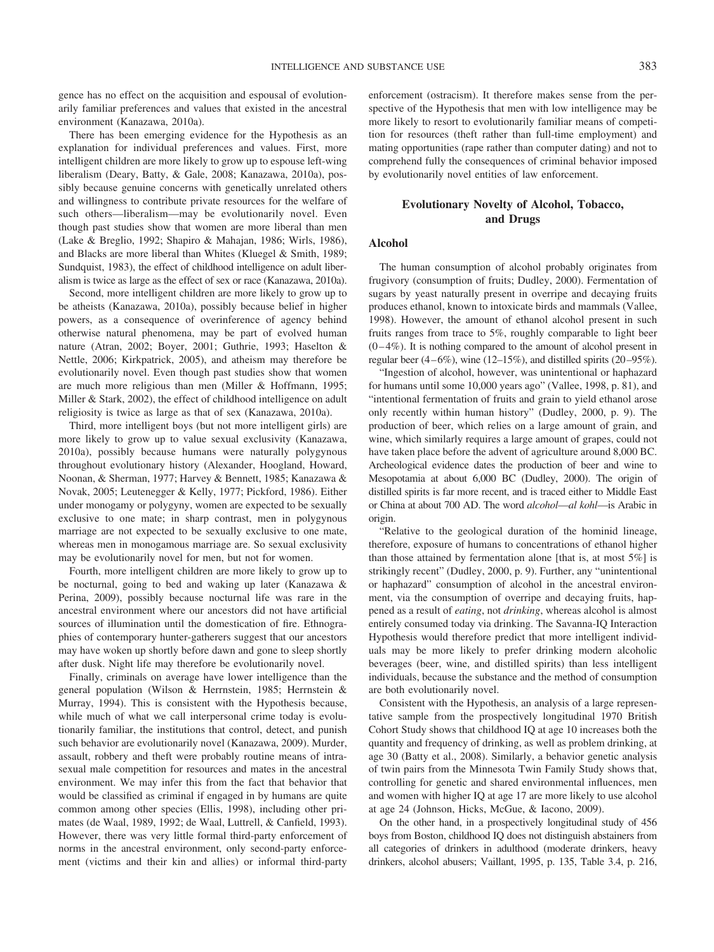gence has no effect on the acquisition and espousal of evolutionarily familiar preferences and values that existed in the ancestral environment (Kanazawa, 2010a).

There has been emerging evidence for the Hypothesis as an explanation for individual preferences and values. First, more intelligent children are more likely to grow up to espouse left-wing liberalism (Deary, Batty, & Gale, 2008; Kanazawa, 2010a), possibly because genuine concerns with genetically unrelated others and willingness to contribute private resources for the welfare of such others—liberalism—may be evolutionarily novel. Even though past studies show that women are more liberal than men (Lake & Breglio, 1992; Shapiro & Mahajan, 1986; Wirls, 1986), and Blacks are more liberal than Whites (Kluegel & Smith, 1989; Sundquist, 1983), the effect of childhood intelligence on adult liberalism is twice as large as the effect of sex or race (Kanazawa, 2010a).

Second, more intelligent children are more likely to grow up to be atheists (Kanazawa, 2010a), possibly because belief in higher powers, as a consequence of overinference of agency behind otherwise natural phenomena, may be part of evolved human nature (Atran, 2002; Boyer, 2001; Guthrie, 1993; Haselton & Nettle, 2006; Kirkpatrick, 2005), and atheism may therefore be evolutionarily novel. Even though past studies show that women are much more religious than men (Miller & Hoffmann, 1995; Miller & Stark, 2002), the effect of childhood intelligence on adult religiosity is twice as large as that of sex (Kanazawa, 2010a).

Third, more intelligent boys (but not more intelligent girls) are more likely to grow up to value sexual exclusivity (Kanazawa, 2010a), possibly because humans were naturally polygynous throughout evolutionary history (Alexander, Hoogland, Howard, Noonan, & Sherman, 1977; Harvey & Bennett, 1985; Kanazawa & Novak, 2005; Leutenegger & Kelly, 1977; Pickford, 1986). Either under monogamy or polygyny, women are expected to be sexually exclusive to one mate; in sharp contrast, men in polygynous marriage are not expected to be sexually exclusive to one mate, whereas men in monogamous marriage are. So sexual exclusivity may be evolutionarily novel for men, but not for women.

Fourth, more intelligent children are more likely to grow up to be nocturnal, going to bed and waking up later (Kanazawa & Perina, 2009), possibly because nocturnal life was rare in the ancestral environment where our ancestors did not have artificial sources of illumination until the domestication of fire. Ethnographies of contemporary hunter-gatherers suggest that our ancestors may have woken up shortly before dawn and gone to sleep shortly after dusk. Night life may therefore be evolutionarily novel.

Finally, criminals on average have lower intelligence than the general population (Wilson & Herrnstein, 1985; Herrnstein & Murray, 1994). This is consistent with the Hypothesis because, while much of what we call interpersonal crime today is evolutionarily familiar, the institutions that control, detect, and punish such behavior are evolutionarily novel (Kanazawa, 2009). Murder, assault, robbery and theft were probably routine means of intrasexual male competition for resources and mates in the ancestral environment. We may infer this from the fact that behavior that would be classified as criminal if engaged in by humans are quite common among other species (Ellis, 1998), including other primates (de Waal, 1989, 1992; de Waal, Luttrell, & Canfield, 1993). However, there was very little formal third-party enforcement of norms in the ancestral environment, only second-party enforcement (victims and their kin and allies) or informal third-party

enforcement (ostracism). It therefore makes sense from the perspective of the Hypothesis that men with low intelligence may be more likely to resort to evolutionarily familiar means of competition for resources (theft rather than full-time employment) and mating opportunities (rape rather than computer dating) and not to comprehend fully the consequences of criminal behavior imposed by evolutionarily novel entities of law enforcement.

# **Evolutionary Novelty of Alcohol, Tobacco, and Drugs**

## **Alcohol**

The human consumption of alcohol probably originates from frugivory (consumption of fruits; Dudley, 2000). Fermentation of sugars by yeast naturally present in overripe and decaying fruits produces ethanol, known to intoxicate birds and mammals (Vallee, 1998). However, the amount of ethanol alcohol present in such fruits ranges from trace to 5%, roughly comparable to light beer  $(0-4\%)$ . It is nothing compared to the amount of alcohol present in regular beer  $(4-6\%)$ , wine  $(12-15\%)$ , and distilled spirits  $(20-95\%)$ .

"Ingestion of alcohol, however, was unintentional or haphazard for humans until some 10,000 years ago" (Vallee, 1998, p. 81), and "intentional fermentation of fruits and grain to yield ethanol arose only recently within human history" (Dudley, 2000, p. 9). The production of beer, which relies on a large amount of grain, and wine, which similarly requires a large amount of grapes, could not have taken place before the advent of agriculture around 8,000 BC. Archeological evidence dates the production of beer and wine to Mesopotamia at about 6,000 BC (Dudley, 2000). The origin of distilled spirits is far more recent, and is traced either to Middle East or China at about 700 AD. The word *alcohol*—*al kohl*—is Arabic in origin.

"Relative to the geological duration of the hominid lineage, therefore, exposure of humans to concentrations of ethanol higher than those attained by fermentation alone [that is, at most 5%] is strikingly recent" (Dudley, 2000, p. 9). Further, any "unintentional or haphazard" consumption of alcohol in the ancestral environment, via the consumption of overripe and decaying fruits, happened as a result of *eating*, not *drinking*, whereas alcohol is almost entirely consumed today via drinking. The Savanna-IQ Interaction Hypothesis would therefore predict that more intelligent individuals may be more likely to prefer drinking modern alcoholic beverages (beer, wine, and distilled spirits) than less intelligent individuals, because the substance and the method of consumption are both evolutionarily novel.

Consistent with the Hypothesis, an analysis of a large representative sample from the prospectively longitudinal 1970 British Cohort Study shows that childhood IQ at age 10 increases both the quantity and frequency of drinking, as well as problem drinking, at age 30 (Batty et al., 2008). Similarly, a behavior genetic analysis of twin pairs from the Minnesota Twin Family Study shows that, controlling for genetic and shared environmental influences, men and women with higher IQ at age 17 are more likely to use alcohol at age 24 (Johnson, Hicks, McGue, & Iacono, 2009).

On the other hand, in a prospectively longitudinal study of 456 boys from Boston, childhood IQ does not distinguish abstainers from all categories of drinkers in adulthood (moderate drinkers, heavy drinkers, alcohol abusers; Vaillant, 1995, p. 135, Table 3.4, p. 216,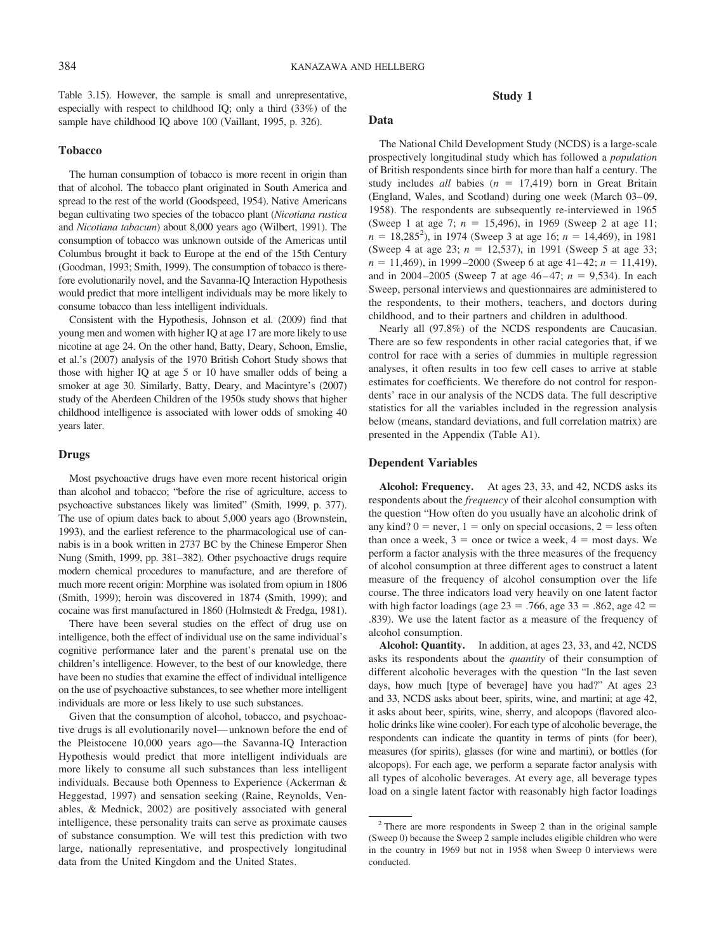Table 3.15). However, the sample is small and unrepresentative, especially with respect to childhood IQ; only a third (33%) of the sample have childhood IQ above 100 (Vaillant, 1995, p. 326).

#### **Tobacco**

The human consumption of tobacco is more recent in origin than that of alcohol. The tobacco plant originated in South America and spread to the rest of the world (Goodspeed, 1954). Native Americans began cultivating two species of the tobacco plant (*Nicotiana rustica* and *Nicotiana tabacum*) about 8,000 years ago (Wilbert, 1991). The consumption of tobacco was unknown outside of the Americas until Columbus brought it back to Europe at the end of the 15th Century (Goodman, 1993; Smith, 1999). The consumption of tobacco is therefore evolutionarily novel, and the Savanna-IQ Interaction Hypothesis would predict that more intelligent individuals may be more likely to consume tobacco than less intelligent individuals.

Consistent with the Hypothesis, Johnson et al. (2009) find that young men and women with higher IQ at age 17 are more likely to use nicotine at age 24. On the other hand, Batty, Deary, Schoon, Emslie, et al.'s (2007) analysis of the 1970 British Cohort Study shows that those with higher IQ at age 5 or 10 have smaller odds of being a smoker at age 30. Similarly, Batty, Deary, and Macintyre's (2007) study of the Aberdeen Children of the 1950s study shows that higher childhood intelligence is associated with lower odds of smoking 40 years later.

## **Drugs**

Most psychoactive drugs have even more recent historical origin than alcohol and tobacco; "before the rise of agriculture, access to psychoactive substances likely was limited" (Smith, 1999, p. 377). The use of opium dates back to about 5,000 years ago (Brownstein, 1993), and the earliest reference to the pharmacological use of cannabis is in a book written in 2737 BC by the Chinese Emperor Shen Nung (Smith, 1999, pp. 381–382). Other psychoactive drugs require modern chemical procedures to manufacture, and are therefore of much more recent origin: Morphine was isolated from opium in 1806 (Smith, 1999); heroin was discovered in 1874 (Smith, 1999); and cocaine was first manufactured in 1860 (Holmstedt & Fredga, 1981).

There have been several studies on the effect of drug use on intelligence, both the effect of individual use on the same individual's cognitive performance later and the parent's prenatal use on the children's intelligence. However, to the best of our knowledge, there have been no studies that examine the effect of individual intelligence on the use of psychoactive substances, to see whether more intelligent individuals are more or less likely to use such substances.

Given that the consumption of alcohol, tobacco, and psychoactive drugs is all evolutionarily novel—unknown before the end of the Pleistocene 10,000 years ago—the Savanna-IQ Interaction Hypothesis would predict that more intelligent individuals are more likely to consume all such substances than less intelligent individuals. Because both Openness to Experience (Ackerman & Heggestad, 1997) and sensation seeking (Raine, Reynolds, Venables, & Mednick, 2002) are positively associated with general intelligence, these personality traits can serve as proximate causes of substance consumption. We will test this prediction with two large, nationally representative, and prospectively longitudinal data from the United Kingdom and the United States.

#### **Study 1**

#### **Data**

The National Child Development Study (NCDS) is a large-scale prospectively longitudinal study which has followed a *population* of British respondents since birth for more than half a century. The study includes *all* babies  $(n = 17,419)$  born in Great Britain (England, Wales, and Scotland) during one week (March 03–09, 1958). The respondents are subsequently re-interviewed in 1965 (Sweep 1 at age 7;  $n = 15,496$ ), in 1969 (Sweep 2 at age 11;  $n = 18,285^2$ ), in 1974 (Sweep 3 at age 16;  $n = 14,469$ ), in 1981 (Sweep 4 at age 23;  $n = 12,537$ ), in 1991 (Sweep 5 at age 33;  $n = 11,469$ , in 1999–2000 (Sweep 6 at age 41–42;  $n = 11,419$ ), and in 2004–2005 (Sweep 7 at age  $46-47$ ;  $n = 9,534$ ). In each Sweep, personal interviews and questionnaires are administered to the respondents, to their mothers, teachers, and doctors during childhood, and to their partners and children in adulthood.

Nearly all (97.8%) of the NCDS respondents are Caucasian. There are so few respondents in other racial categories that, if we control for race with a series of dummies in multiple regression analyses, it often results in too few cell cases to arrive at stable estimates for coefficients. We therefore do not control for respondents' race in our analysis of the NCDS data. The full descriptive statistics for all the variables included in the regression analysis below (means, standard deviations, and full correlation matrix) are presented in the Appendix (Table A1).

## **Dependent Variables**

**Alcohol: Frequency.** At ages 23, 33, and 42, NCDS asks its respondents about the *frequency* of their alcohol consumption with the question "How often do you usually have an alcoholic drink of any kind?  $0 =$  never,  $1 =$  only on special occasions,  $2 =$  less often than once a week,  $3 =$  once or twice a week,  $4 =$  most days. We perform a factor analysis with the three measures of the frequency of alcohol consumption at three different ages to construct a latent measure of the frequency of alcohol consumption over the life course. The three indicators load very heavily on one latent factor with high factor loadings (age  $23 = .766$ , age  $33 = .862$ , age  $42 =$ .839). We use the latent factor as a measure of the frequency of alcohol consumption.

**Alcohol: Quantity.** In addition, at ages 23, 33, and 42, NCDS asks its respondents about the *quantity* of their consumption of different alcoholic beverages with the question "In the last seven days, how much [type of beverage] have you had?" At ages 23 and 33, NCDS asks about beer, spirits, wine, and martini; at age 42, it asks about beer, spirits, wine, sherry, and alcopops (flavored alcoholic drinks like wine cooler). For each type of alcoholic beverage, the respondents can indicate the quantity in terms of pints (for beer), measures (for spirits), glasses (for wine and martini), or bottles (for alcopops). For each age, we perform a separate factor analysis with all types of alcoholic beverages. At every age, all beverage types load on a single latent factor with reasonably high factor loadings

<sup>2</sup> There are more respondents in Sweep 2 than in the original sample (Sweep 0) because the Sweep 2 sample includes eligible children who were in the country in 1969 but not in 1958 when Sweep 0 interviews were conducted.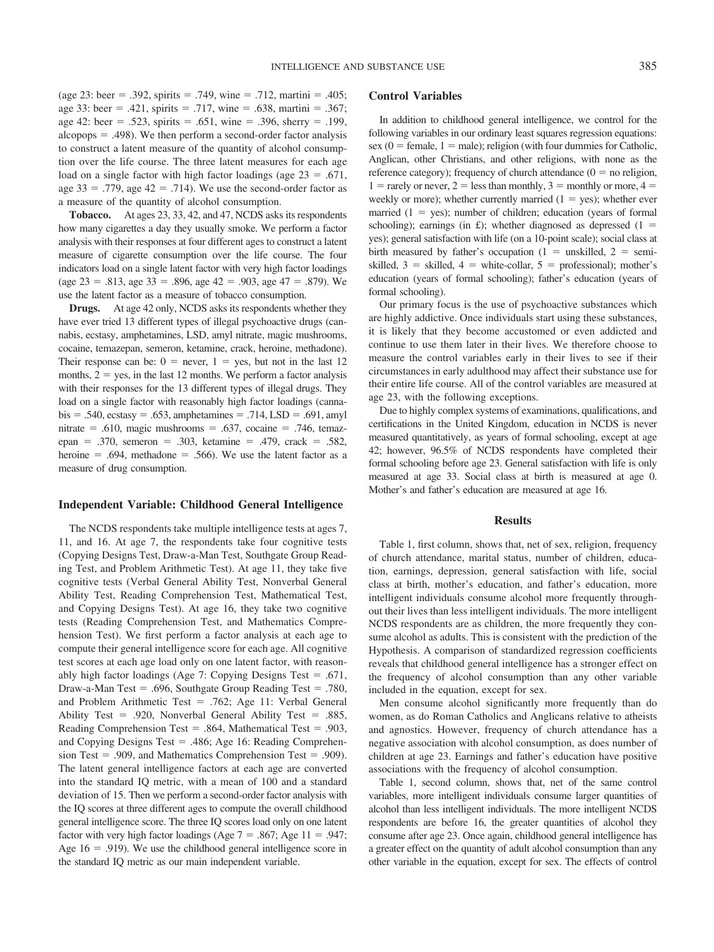(age 23: beer = .392, spirits = .749, wine = .712, martini = .405; age 33: beer = .421, spirits = .717, wine = .638, martini = .367; age 42: beer = .523, spirits = .651, wine = .396, sherry = .199, alcopops  $= .498$ ). We then perform a second-order factor analysis to construct a latent measure of the quantity of alcohol consumption over the life course. The three latent measures for each age load on a single factor with high factor loadings (age  $23 = .671$ , age  $33 = .779$ , age  $42 = .714$ ). We use the second-order factor as a measure of the quantity of alcohol consumption.

**Tobacco.** At ages 23, 33, 42, and 47, NCDS asks its respondents how many cigarettes a day they usually smoke. We perform a factor analysis with their responses at four different ages to construct a latent measure of cigarette consumption over the life course. The four indicators load on a single latent factor with very high factor loadings (age  $23 = .813$ , age  $33 = .896$ , age  $42 = .903$ , age  $47 = .879$ ). We use the latent factor as a measure of tobacco consumption.

**Drugs.** At age 42 only, NCDS asks its respondents whether they have ever tried 13 different types of illegal psychoactive drugs (cannabis, ecstasy, amphetamines, LSD, amyl nitrate, magic mushrooms, cocaine, temazepan, semeron, ketamine, crack, heroine, methadone). Their response can be:  $0 =$  never,  $1 =$  yes, but not in the last 12 months,  $2 = yes$ , in the last 12 months. We perform a factor analysis with their responses for the 13 different types of illegal drugs. They load on a single factor with reasonably high factor loadings (canna $bis = .540$ , ecstasy = .653, amphetamines = .714, LSD = .691, amyl nitrate  $= .610$ , magic mushrooms  $= .637$ , cocaine  $= .746$ , temazepan = .370, semeron = .303, ketamine = .479, crack = .582, heroine  $= .694$ , methadone  $= .566$ ). We use the latent factor as a measure of drug consumption.

#### **Independent Variable: Childhood General Intelligence**

The NCDS respondents take multiple intelligence tests at ages 7, 11, and 16. At age 7, the respondents take four cognitive tests (Copying Designs Test, Draw-a-Man Test, Southgate Group Reading Test, and Problem Arithmetic Test). At age 11, they take five cognitive tests (Verbal General Ability Test, Nonverbal General Ability Test, Reading Comprehension Test, Mathematical Test, and Copying Designs Test). At age 16, they take two cognitive tests (Reading Comprehension Test, and Mathematics Comprehension Test). We first perform a factor analysis at each age to compute their general intelligence score for each age. All cognitive test scores at each age load only on one latent factor, with reasonably high factor loadings (Age 7: Copying Designs Test  $= .671,$ Draw-a-Man Test = .696, Southgate Group Reading Test = .780, and Problem Arithmetic Test = .762; Age 11: Verbal General Ability Test = .920, Nonverbal General Ability Test = .885, Reading Comprehension Test  $= .864$ , Mathematical Test  $= .903$ , and Copying Designs Test  $= .486$ ; Age 16: Reading Comprehension Test  $= .909$ , and Mathematics Comprehension Test  $= .909$ ). The latent general intelligence factors at each age are converted into the standard IQ metric, with a mean of 100 and a standard deviation of 15. Then we perform a second-order factor analysis with the IQ scores at three different ages to compute the overall childhood general intelligence score. The three IQ scores load only on one latent factor with very high factor loadings (Age  $7 = .867$ ; Age  $11 = .947$ ; Age  $16 = .919$ ). We use the childhood general intelligence score in the standard IQ metric as our main independent variable.

## **Control Variables**

In addition to childhood general intelligence, we control for the following variables in our ordinary least squares regression equations: sex ( $0 =$  female,  $1 =$  male); religion (with four dummies for Catholic, Anglican, other Christians, and other religions, with none as the reference category); frequency of church attendance  $(0 = no$  religion,  $1 =$  rarely or never,  $2 =$  less than monthly,  $3 =$  monthly or more,  $4 =$ weekly or more); whether currently married  $(1 = yes)$ ; whether ever married  $(1 = yes)$ ; number of children; education (years of formal schooling); earnings (in £); whether diagnosed as depressed (1 = yes); general satisfaction with life (on a 10-point scale); social class at birth measured by father's occupation (1 = unskilled, 2 = semiskilled,  $3 =$  skilled,  $4 =$  white-collar,  $5 =$  professional); mother's education (years of formal schooling); father's education (years of formal schooling).

Our primary focus is the use of psychoactive substances which are highly addictive. Once individuals start using these substances, it is likely that they become accustomed or even addicted and continue to use them later in their lives. We therefore choose to measure the control variables early in their lives to see if their circumstances in early adulthood may affect their substance use for their entire life course. All of the control variables are measured at age 23, with the following exceptions.

Due to highly complex systems of examinations, qualifications, and certifications in the United Kingdom, education in NCDS is never measured quantitatively, as years of formal schooling, except at age 42; however, 96.5% of NCDS respondents have completed their formal schooling before age 23. General satisfaction with life is only measured at age 33. Social class at birth is measured at age 0. Mother's and father's education are measured at age 16.

#### **Results**

Table 1, first column, shows that, net of sex, religion, frequency of church attendance, marital status, number of children, education, earnings, depression, general satisfaction with life, social class at birth, mother's education, and father's education, more intelligent individuals consume alcohol more frequently throughout their lives than less intelligent individuals. The more intelligent NCDS respondents are as children, the more frequently they consume alcohol as adults. This is consistent with the prediction of the Hypothesis. A comparison of standardized regression coefficients reveals that childhood general intelligence has a stronger effect on the frequency of alcohol consumption than any other variable included in the equation, except for sex.

Men consume alcohol significantly more frequently than do women, as do Roman Catholics and Anglicans relative to atheists and agnostics. However, frequency of church attendance has a negative association with alcohol consumption, as does number of children at age 23. Earnings and father's education have positive associations with the frequency of alcohol consumption.

Table 1, second column, shows that, net of the same control variables, more intelligent individuals consume larger quantities of alcohol than less intelligent individuals. The more intelligent NCDS respondents are before 16, the greater quantities of alcohol they consume after age 23. Once again, childhood general intelligence has a greater effect on the quantity of adult alcohol consumption than any other variable in the equation, except for sex. The effects of control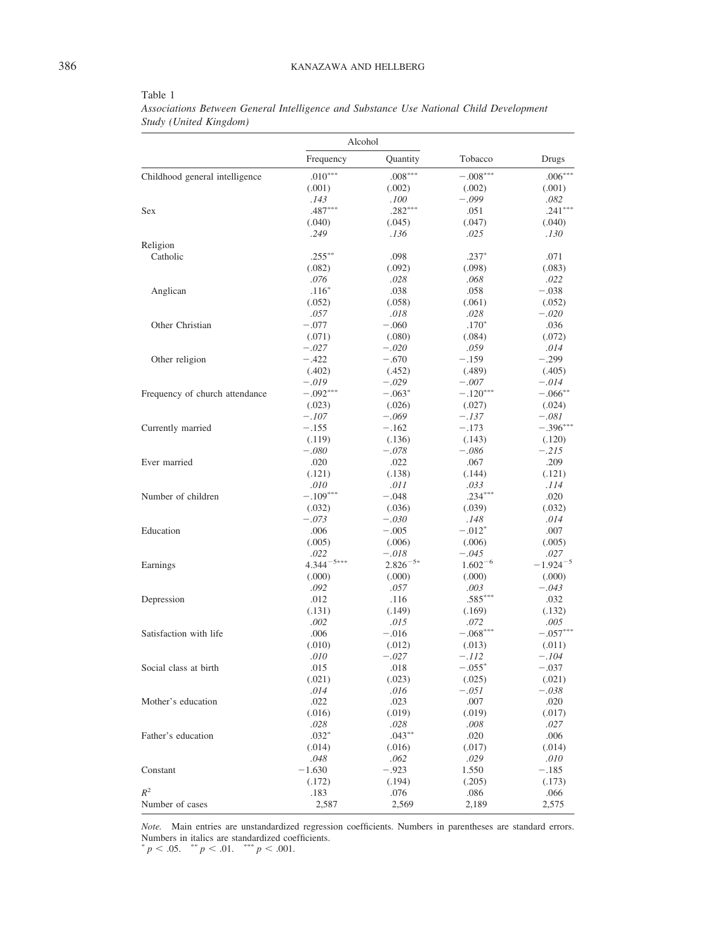# 386 KANAZAWA AND HELLBERG

|                                | Alcohol         |               |                 |                   |
|--------------------------------|-----------------|---------------|-----------------|-------------------|
|                                | Frequency       | Quantity      | Tobacco         | Drugs             |
| Childhood general intelligence | $.010***$       | $.008***$     | $-.008***$      | $.006***$         |
|                                | (.001)          | (.002)        | (.002)          | (.001)            |
|                                | .143            | .100          | $-.099$         | .082              |
| Sex                            | $.487***$       | $.282***$     | .051            | $.241***$         |
|                                | (.040)          | (.045)        | (.047)          | (.040)            |
|                                | .249            | .136          | .025            | .130              |
| Religion                       |                 |               |                 |                   |
| Catholic                       | $.255***$       | .098          | $.237*$         | .071              |
|                                | (.082)          | (.092)        | (.098)          | (.083)            |
| Anglican                       | .076<br>$.116*$ | .028<br>.038  | .068<br>.058    | .022<br>$-.038$   |
|                                | (.052)          | (.058)        | (.061)          |                   |
|                                | .057            | .018          | .028            | (.052)<br>$-.020$ |
| Other Christian                | $-.077$         | $-.060$       | $.170*$         | .036              |
|                                | (.071)          | (.080)        | (.084)          | (.072)            |
|                                | $-.027$         | $-.020$       | .059            | .014              |
| Other religion                 | $-.422$         | $-.670$       | $-.159$         | $-.299$           |
|                                | (.402)          | (.452)        | (.489)          | (.405)            |
|                                | $-.019$         | $-.029$       | $-.007$         | $-.014$           |
| Frequency of church attendance | $-.092***$      | $-.063*$      | $-.120***$      | $-.066**$         |
|                                | (.023)          | (.026)        | (.027)          | (.024)            |
|                                | $-.107$         | $-.069$       | $-.137$         | $-.081$           |
| Currently married              | $-.155$         | $-.162$       | $-.173$         | $-.396***$        |
|                                | (.119)          | (.136)        | (.143)          | (.120)            |
|                                | $-.080$         | $-.078$       | $-.086$         | $-.215$           |
| Ever married                   | .020            | .022          | .067            | .209              |
|                                | (.121)          | (.138)        | (.144)          | (.121)            |
|                                | .010            | .011          | .033            | .114              |
| Number of children             | $-.109***$      | $-.048$       | $.234***$       | .020              |
|                                | (.032)          | (.036)        | (.039)          | (.032)            |
|                                | $-.073$         | $-.030$       | .148            | .014              |
| Education                      | .006            | $-.005$       | $-.012*$        | .007              |
|                                | (.005)          | (.006)        | (.006)          | (.005)            |
|                                | .022            | $-.018$       | $-.045$         | .027              |
| Earnings                       | $4.344^{-5***}$ | $2.826^{-5*}$ | $1.602^{-6}$    | $-1.924^{-5}$     |
|                                | (.000)          | (.000)        | (.000)          | (.000)            |
|                                | .092            | .057          | .003            | $-.043$           |
| Depression                     | .012            | .116          | $.585***$       | .032              |
|                                | (.131)          | (.149)        | (.169)          | (.132)            |
|                                | .002            | .015          | .072            | .005              |
| Satisfaction with life         | .006            | $-.016$       | $-.068***$      | $-.057***$        |
|                                | (.010)          | (.012)        | (.013)          | (.011)            |
|                                | .010            | $-.027$       | $-.112$         | $-.104$           |
| Social class at birth          | .015            | .018          | $-.055*$        | $-.037$           |
|                                | (.021)          | (.023)        | (.025)          | (.021)            |
| Mother's education             | .014<br>.022    | .016<br>.023  | $-.051$<br>.007 | $-.038$<br>.020   |
|                                | (.016)          | (.019)        | (.019)          | (.017)            |
|                                | .028            | .028          | .008            | .027              |
| Father's education             | $.032*$         | $.043***$     | .020            | .006              |
|                                | (.014)          | (.016)        | (.017)          | (.014)            |
|                                | .048            | .062          | .029            | .010              |
| Constant                       | $-1.630$        | $-.923$       | 1.550           | $-.185$           |
|                                | (.172)          | (.194)        | (.205)          | (.173)            |
| $R^2$                          | .183            | .076          | .086            | .066              |
| Number of cases                | 2,587           | 2,569         | 2,189           | 2,575             |
|                                |                 |               |                 |                   |

## *Associations Between General Intelligence and Substance Use National Child Development Study (United Kingdom)*

*Note.* Main entries are unstandardized regression coefficients. Numbers in parentheses are standard errors. Numbers in italics are standardized coefficients.<br> *p*  $> 0.05$ . *\*\*p*  $< 0.01$ . *\*\*\*p*  $< 0.001$ .

Table 1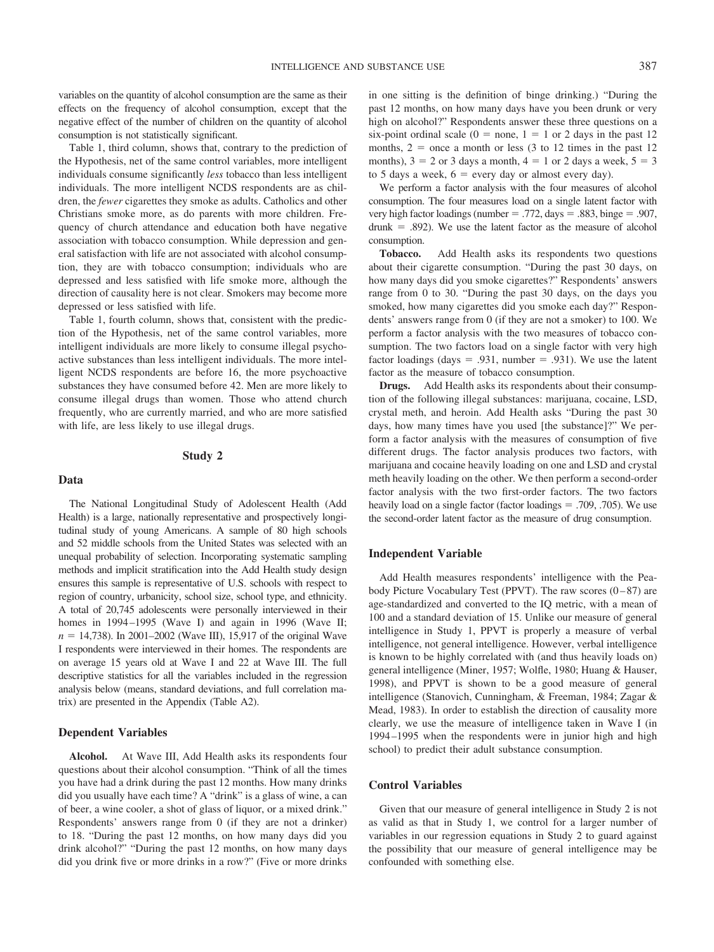variables on the quantity of alcohol consumption are the same as their effects on the frequency of alcohol consumption, except that the negative effect of the number of children on the quantity of alcohol consumption is not statistically significant.

Table 1, third column, shows that, contrary to the prediction of the Hypothesis, net of the same control variables, more intelligent individuals consume significantly *less* tobacco than less intelligent individuals. The more intelligent NCDS respondents are as children, the *fewer* cigarettes they smoke as adults. Catholics and other Christians smoke more, as do parents with more children. Frequency of church attendance and education both have negative association with tobacco consumption. While depression and general satisfaction with life are not associated with alcohol consumption, they are with tobacco consumption; individuals who are depressed and less satisfied with life smoke more, although the direction of causality here is not clear. Smokers may become more depressed or less satisfied with life.

Table 1, fourth column, shows that, consistent with the prediction of the Hypothesis, net of the same control variables, more intelligent individuals are more likely to consume illegal psychoactive substances than less intelligent individuals. The more intelligent NCDS respondents are before 16, the more psychoactive substances they have consumed before 42. Men are more likely to consume illegal drugs than women. Those who attend church frequently, who are currently married, and who are more satisfied with life, are less likely to use illegal drugs.

## **Study 2**

## **Data**

The National Longitudinal Study of Adolescent Health (Add Health) is a large, nationally representative and prospectively longitudinal study of young Americans. A sample of 80 high schools and 52 middle schools from the United States was selected with an unequal probability of selection. Incorporating systematic sampling methods and implicit stratification into the Add Health study design ensures this sample is representative of U.S. schools with respect to region of country, urbanicity, school size, school type, and ethnicity. A total of 20,745 adolescents were personally interviewed in their homes in 1994–1995 (Wave I) and again in 1996 (Wave II;  $n = 14,738$ ). In 2001–2002 (Wave III), 15,917 of the original Wave I respondents were interviewed in their homes. The respondents are on average 15 years old at Wave I and 22 at Wave III. The full descriptive statistics for all the variables included in the regression analysis below (means, standard deviations, and full correlation matrix) are presented in the Appendix (Table A2).

#### **Dependent Variables**

**Alcohol.** At Wave III, Add Health asks its respondents four questions about their alcohol consumption. "Think of all the times you have had a drink during the past 12 months. How many drinks did you usually have each time? A "drink" is a glass of wine, a can of beer, a wine cooler, a shot of glass of liquor, or a mixed drink." Respondents' answers range from 0 (if they are not a drinker) to 18. "During the past 12 months, on how many days did you drink alcohol?" "During the past 12 months, on how many days did you drink five or more drinks in a row?" (Five or more drinks in one sitting is the definition of binge drinking.) "During the past 12 months, on how many days have you been drunk or very high on alcohol?" Respondents answer these three questions on a six-point ordinal scale  $(0 = none, 1 = 1$  or 2 days in the past 12 months,  $2 =$  once a month or less (3 to 12 times in the past 12 months),  $3 = 2$  or 3 days a month,  $4 = 1$  or 2 days a week,  $5 = 3$ to 5 days a week,  $6 =$  every day or almost every day).

We perform a factor analysis with the four measures of alcohol consumption. The four measures load on a single latent factor with very high factor loadings (number  $= .772$ , days  $= .883$ , binge  $= .907$ ,  $drunk = .892$ ). We use the latent factor as the measure of alcohol consumption.

**Tobacco.** Add Health asks its respondents two questions about their cigarette consumption. "During the past 30 days, on how many days did you smoke cigarettes?" Respondents' answers range from 0 to 30. "During the past 30 days, on the days you smoked, how many cigarettes did you smoke each day?" Respondents' answers range from 0 (if they are not a smoker) to 100. We perform a factor analysis with the two measures of tobacco consumption. The two factors load on a single factor with very high factor loadings (days  $= .931$ , number  $= .931$ ). We use the latent factor as the measure of tobacco consumption.

**Drugs.** Add Health asks its respondents about their consumption of the following illegal substances: marijuana, cocaine, LSD, crystal meth, and heroin. Add Health asks "During the past 30 days, how many times have you used [the substance]?" We perform a factor analysis with the measures of consumption of five different drugs. The factor analysis produces two factors, with marijuana and cocaine heavily loading on one and LSD and crystal meth heavily loading on the other. We then perform a second-order factor analysis with the two first-order factors. The two factors heavily load on a single factor (factor loadings  $= .709, .705$ ). We use the second-order latent factor as the measure of drug consumption.

#### **Independent Variable**

Add Health measures respondents' intelligence with the Peabody Picture Vocabulary Test (PPVT). The raw scores  $(0-87)$  are age-standardized and converted to the IQ metric, with a mean of 100 and a standard deviation of 15. Unlike our measure of general intelligence in Study 1, PPVT is properly a measure of verbal intelligence, not general intelligence. However, verbal intelligence is known to be highly correlated with (and thus heavily loads on) general intelligence (Miner, 1957; Wolfle, 1980; Huang & Hauser, 1998), and PPVT is shown to be a good measure of general intelligence (Stanovich, Cunningham, & Freeman, 1984; Zagar & Mead, 1983). In order to establish the direction of causality more clearly, we use the measure of intelligence taken in Wave I (in 1994–1995 when the respondents were in junior high and high school) to predict their adult substance consumption.

#### **Control Variables**

Given that our measure of general intelligence in Study 2 is not as valid as that in Study 1, we control for a larger number of variables in our regression equations in Study 2 to guard against the possibility that our measure of general intelligence may be confounded with something else.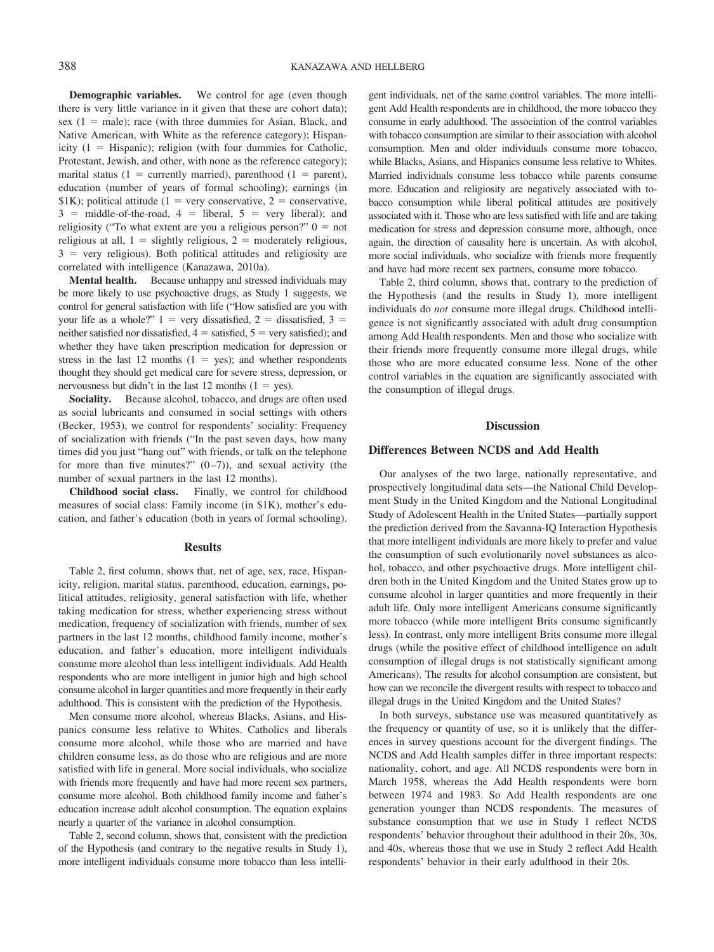**Demographic variables.** We control for age (even though there is very little variance in it given that these are cohort data); sex  $(1 = \text{male})$ ; race (with three dummies for Asian, Black, and Native American, with White as the reference category); Hispanicity  $(1 - Hispanic)$ ; religion (with four dummies for Catholic, Protestant, Jewish, and other, with none as the reference category); marital status (1 = currently married), parenthood (1 = parent), education (number of years of formal schooling); earnings (in  $$1K$ ); political attitude (1 = very conservative, 2 = conservative,  $3 =$  middle-of-the-road,  $4 =$  liberal,  $5 =$  very liberal); and religiosity ("To what extent are you a religious person?"  $0 = not$ religious at all,  $1 =$  slightly religious,  $2 =$  moderately religious,  $3$  = very religious). Both political attitudes and religiosity are correlated with intelligence (Kanazawa, 2010a).

**Mental health.** Because unhappy and stressed individuals may be more likely to use psychoactive drugs, as Study 1 suggests, we control for general satisfaction with life ("How satisfied are you with your life as a whole?"  $1 = \text{very dissatisfied}$ ,  $2 = \text{dissatisfied}$ ,  $3 =$ neither satisfied nor dissatisfied,  $4 =$  satisfied,  $5 =$  very satisfied); and whether they have taken prescription medication for depression or stress in the last 12 months  $(1 = yes)$ ; and whether respondents thought they should get medical care for severe stress, depression, or nervousness but didn't in the last 12 months ( $1 = yes$ ).

**Sociality.** Because alcohol, tobacco, and drugs are often used as social lubricants and consumed in social settings with others (Becker, 1953), we control for respondents' sociality: Frequency of socialization with friends ("In the past seven days, how many times did you just "hang out" with friends, or talk on the telephone for more than five minutes?"  $(0-7)$ ), and sexual activity (the number of sexual partners in the last 12 months).

**Childhood social class.** Finally, we control for childhood measures of social class: Family income (in \$1K), mother's education, and father's education (both in years of formal schooling).

#### **Results**

Table 2, first column, shows that, net of age, sex, race, Hispanicity, religion, marital status, parenthood, education, earnings, political attitudes, religiosity, general satisfaction with life, whether taking medication for stress, whether experiencing stress without medication, frequency of socialization with friends, number of sex partners in the last 12 months, childhood family income, mother's education, and father's education, more intelligent individuals consume more alcohol than less intelligent individuals. Add Health respondents who are more intelligent in junior high and high school consume alcohol in larger quantities and more frequently in their early adulthood. This is consistent with the prediction of the Hypothesis.

Men consume more alcohol, whereas Blacks, Asians, and Hispanics consume less relative to Whites. Catholics and liberals consume more alcohol, while those who are married and have children consume less, as do those who are religious and are more satisfied with life in general. More social individuals, who socialize with friends more frequently and have had more recent sex partners, consume more alcohol. Both childhood family income and father's education increase adult alcohol consumption. The equation explains nearly a quarter of the variance in alcohol consumption.

Table 2, second column, shows that, consistent with the prediction of the Hypothesis (and contrary to the negative results in Study 1), more intelligent individuals consume more tobacco than less intelligent individuals, net of the same control variables. The more intelligent Add Health respondents are in childhood, the more tobacco they consume in early adulthood. The association of the control variables with tobacco consumption are similar to their association with alcohol consumption. Men and older individuals consume more tobacco, while Blacks, Asians, and Hispanics consume less relative to Whites. Married individuals consume less tobacco while parents consume more. Education and religiosity are negatively associated with tobacco consumption while liberal political attitudes are positively associated with it. Those who are less satisfied with life and are taking medication for stress and depression consume more, although, once again, the direction of causality here is uncertain. As with alcohol, more social individuals, who socialize with friends more frequently and have had more recent sex partners, consume more tobacco.

Table 2, third column, shows that, contrary to the prediction of the Hypothesis (and the results in Study 1), more intelligent individuals do *not* consume more illegal drugs. Childhood intelligence is not significantly associated with adult drug consumption among Add Health respondents. Men and those who socialize with their friends more frequently consume more illegal drugs, while those who are more educated consume less. None of the other control variables in the equation are significantly associated with the consumption of illegal drugs.

#### **Discussion**

#### **Differences Between NCDS and Add Health**

Our analyses of the two large, nationally representative, and prospectively longitudinal data sets—the National Child Development Study in the United Kingdom and the National Longitudinal Study of Adolescent Health in the United States—partially support the prediction derived from the Savanna-IQ Interaction Hypothesis that more intelligent individuals are more likely to prefer and value the consumption of such evolutionarily novel substances as alcohol, tobacco, and other psychoactive drugs. More intelligent children both in the United Kingdom and the United States grow up to consume alcohol in larger quantities and more frequently in their adult life. Only more intelligent Americans consume significantly more tobacco (while more intelligent Brits consume significantly less). In contrast, only more intelligent Brits consume more illegal drugs (while the positive effect of childhood intelligence on adult consumption of illegal drugs is not statistically significant among Americans). The results for alcohol consumption are consistent, but how can we reconcile the divergent results with respect to tobacco and illegal drugs in the United Kingdom and the United States?

In both surveys, substance use was measured quantitatively as the frequency or quantity of use, so it is unlikely that the differences in survey questions account for the divergent findings. The NCDS and Add Health samples differ in three important respects: nationality, cohort, and age. All NCDS respondents were born in March 1958, whereas the Add Health respondents were born between 1974 and 1983. So Add Health respondents are one generation younger than NCDS respondents. The measures of substance consumption that we use in Study 1 reflect NCDS respondents' behavior throughout their adulthood in their 20s, 30s, and 40s, whereas those that we use in Study 2 reflect Add Health respondents' behavior in their early adulthood in their 20s.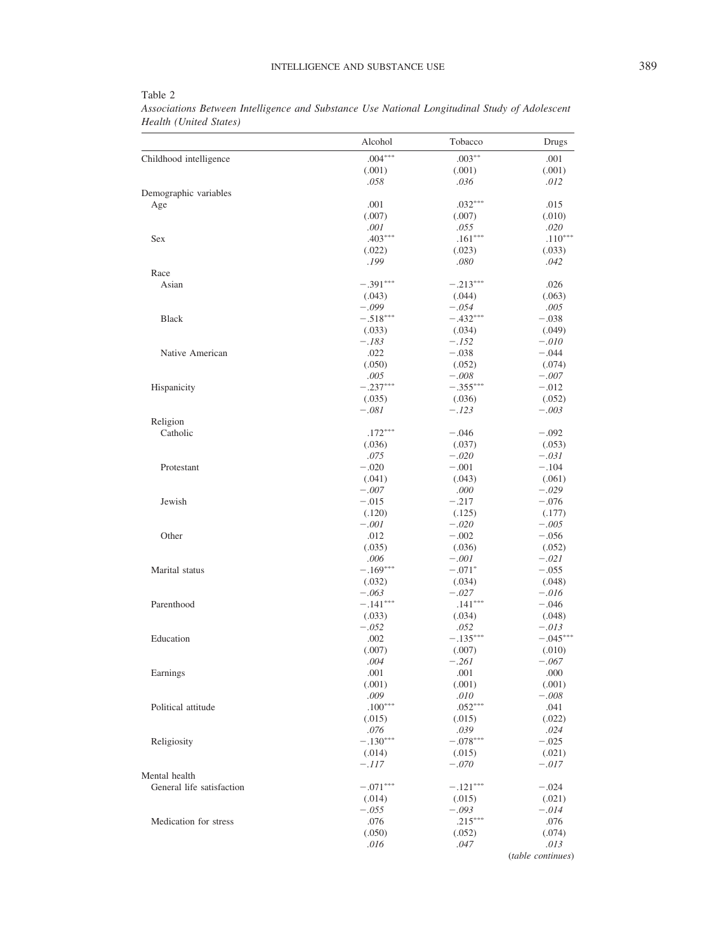# Table 2

|                           | Alcohol           | Tobacco           | Drugs             |
|---------------------------|-------------------|-------------------|-------------------|
| Childhood intelligence    | $.004***$         | $.003***$         | .001              |
|                           | (.001)            | (.001)            | (.001)            |
|                           | .058              | .036              | .012              |
| Demographic variables     | .001              | $.032***$         | .015              |
| Age                       | (.007)            | (.007)            | (.010)            |
|                           | .001              | .055              | .020              |
| Sex                       | $.403***$         | $.161***$         | $.110***$         |
|                           | (.022)            | (.023)            | (.033)            |
|                           | .199              | .080              | .042              |
| Race                      |                   |                   |                   |
| Asian                     | $-.391***$        | $-.213***$        | .026              |
|                           | (.043)<br>$-.099$ | (.044)<br>$-.054$ | (.063)<br>.005    |
| <b>Black</b>              | $-.518***$        | $-.432***$        | $-.038$           |
|                           | (.033)            | (.034)            | (.049)            |
|                           | $-.183$           | $-.152$           | $-.010$           |
| Native American           | .022              | $-.038$           | $-.044$           |
|                           | (.050)            | (.052)            | (.074)            |
|                           | .005              | $-.008$           | $-.007$           |
| Hispanicity               | $-.237***$        | $-.355***$        | $-.012$           |
|                           | (.035)            | (.036)            | (.052)            |
|                           | $-.081$           | $-.123$           | $-.003$           |
| Religion<br>Catholic      | $.172***$         | $-.046$           | $-.092$           |
|                           | (.036)            | (.037)            | (.053)            |
|                           | .075              | $-.020$           | $-.031$           |
| Protestant                | $-.020$           | $-.001$           | $-.104$           |
|                           | (.041)            | (.043)            | (.061)            |
|                           | $-.007$           | .000              | $-.029$           |
| Jewish                    | $-.015$           | $-.217$           | $-.076$           |
|                           | (.120)            | (.125)            | (.177)            |
|                           | $-.001$           | $-.020$           | $-.005$           |
| Other                     | .012              | $-.002$           | $-.056$           |
|                           | (.035)<br>.006    | (.036)<br>$-.001$ | (.052)<br>$-.021$ |
| Marital status            | $-.169***$        | $-.071*$          | $-.055$           |
|                           | (.032)            | (.034)            | (.048)            |
|                           | $-.063$           | $-.027$           | $-.016$           |
| Parenthood                | $-.141***$        | $.141***$         | $-.046$           |
|                           | (.033)            | (.034)            | (.048)            |
|                           | $-.052$           | .052              | $-.013$           |
| Education                 | .002              | $-.135***$        | $-.045***$        |
|                           | (.007)<br>.004    | (.007)<br>$-.261$ | (.010)<br>$-.067$ |
| Earnings                  | .001              | .001              | .000              |
|                           | (.001)            | (.001)            | (.001)            |
|                           | .009              | .010              | $-.008$           |
| Political attitude        | $.100***$         | $.052***$         | .041              |
|                           | (.015)            | (.015)            | (.022)            |
|                           | .076              | .039              | .024              |
| Religiosity               | $-.130***$        | $-.078***$        | $-.025$           |
|                           | (.014)            | (.015)            | (.021)            |
| Mental health             | $-.117$           | $-.070$           | $-.017$           |
| General life satisfaction | $-.071***$        | $-.121***$        | $-.024$           |
|                           | (.014)            | (.015)            | (.021)            |
|                           | $-.055$           | $-.093$           | $-.014$           |
| Medication for stress     | .076              | $.215***$         | .076              |
|                           | (.050)            | (.052)            | (.074)            |
|                           | .016              | .047              | .013              |
|                           |                   |                   | (table continues) |

*Associations Between Intelligence and Substance Use National Longitudinal Study of Adolescent Health (United States)*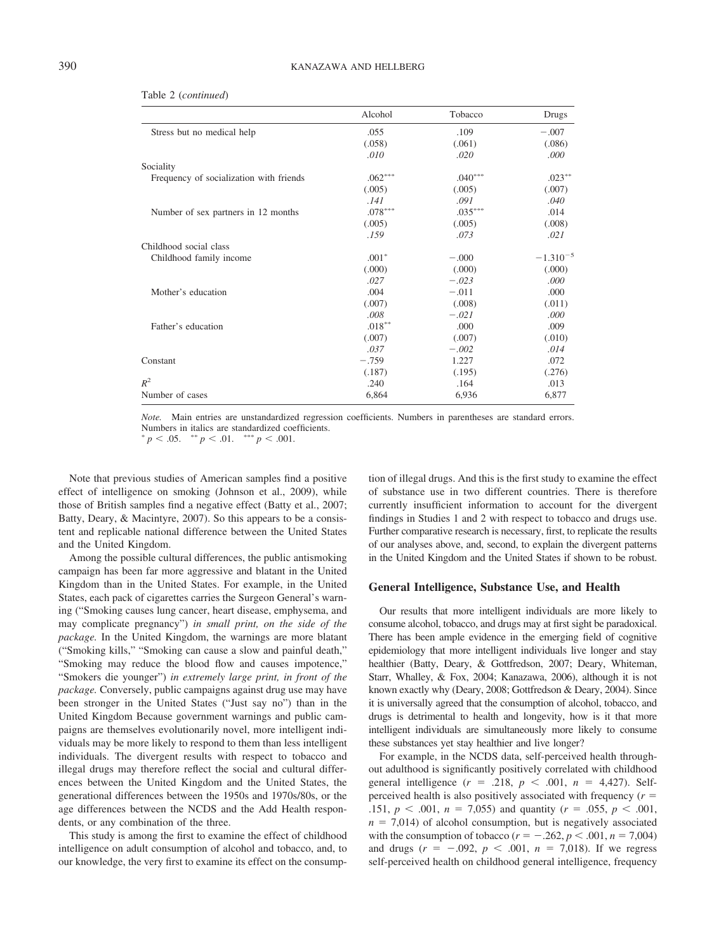|                                         | Alcohol   | Tobacco   | Drugs         |
|-----------------------------------------|-----------|-----------|---------------|
| Stress but no medical help              | .055      | .109      | $-.007$       |
|                                         | (.058)    | (.061)    | (.086)        |
|                                         | .010      | .020      | .000          |
| Sociality                               |           |           |               |
| Frequency of socialization with friends | $.062***$ | $.040***$ | $.023***$     |
|                                         | (.005)    | (.005)    | (.007)        |
|                                         | .141      | .091      | .040          |
| Number of sex partners in 12 months     | $.078***$ | $.035***$ | .014          |
|                                         | (.005)    | (.005)    | (.008)        |
|                                         | .159      | .073      | .021          |
| Childhood social class                  |           |           |               |
| Childhood family income                 | $.001*$   | $-.000$   | $-1.310^{-5}$ |
|                                         | (.000)    | (.000)    | (.000)        |
|                                         | .027      | $-.023$   | .000          |
| Mother's education                      | .004      | $-.011$   | .000          |
|                                         | (.007)    | (.008)    | (.011)        |
|                                         | .008      | $-.021$   | .000.         |
| Father's education                      | $.018***$ | .000      | .009          |
|                                         | (.007)    | (.007)    | (.010)        |
|                                         | .037      | $-.002$   | .014          |
| Constant                                | $-.759$   | 1.227     | .072          |
|                                         | (.187)    | (.195)    | (.276)        |
| $R^2$                                   | .240      | .164      | .013          |
| Number of cases                         | 6,864     | 6,936     | 6,877         |

*Note.* Main entries are unstandardized regression coefficients. Numbers in parentheses are standard errors. Numbers in italics are standardized coefficients.

 $p < .05.$  \*\*  $p < .01.$  \*\*\*  $p < .001.$ 

Note that previous studies of American samples find a positive effect of intelligence on smoking (Johnson et al., 2009), while those of British samples find a negative effect (Batty et al., 2007; Batty, Deary, & Macintyre, 2007). So this appears to be a consistent and replicable national difference between the United States and the United Kingdom.

Among the possible cultural differences, the public antismoking campaign has been far more aggressive and blatant in the United Kingdom than in the United States. For example, in the United States, each pack of cigarettes carries the Surgeon General's warning ("Smoking causes lung cancer, heart disease, emphysema, and may complicate pregnancy") *in small print, on the side of the package.* In the United Kingdom, the warnings are more blatant ("Smoking kills," "Smoking can cause a slow and painful death," "Smoking may reduce the blood flow and causes impotence," "Smokers die younger") *in extremely large print, in front of the package.* Conversely, public campaigns against drug use may have been stronger in the United States ("Just say no") than in the United Kingdom Because government warnings and public campaigns are themselves evolutionarily novel, more intelligent individuals may be more likely to respond to them than less intelligent individuals. The divergent results with respect to tobacco and illegal drugs may therefore reflect the social and cultural differences between the United Kingdom and the United States, the generational differences between the 1950s and 1970s/80s, or the age differences between the NCDS and the Add Health respondents, or any combination of the three.

This study is among the first to examine the effect of childhood intelligence on adult consumption of alcohol and tobacco, and, to our knowledge, the very first to examine its effect on the consumption of illegal drugs. And this is the first study to examine the effect of substance use in two different countries. There is therefore currently insufficient information to account for the divergent findings in Studies 1 and 2 with respect to tobacco and drugs use. Further comparative research is necessary, first, to replicate the results of our analyses above, and, second, to explain the divergent patterns in the United Kingdom and the United States if shown to be robust.

#### **General Intelligence, Substance Use, and Health**

Our results that more intelligent individuals are more likely to consume alcohol, tobacco, and drugs may at first sight be paradoxical. There has been ample evidence in the emerging field of cognitive epidemiology that more intelligent individuals live longer and stay healthier (Batty, Deary, & Gottfredson, 2007; Deary, Whiteman, Starr, Whalley, & Fox, 2004; Kanazawa, 2006), although it is not known exactly why (Deary, 2008; Gottfredson & Deary, 2004). Since it is universally agreed that the consumption of alcohol, tobacco, and drugs is detrimental to health and longevity, how is it that more intelligent individuals are simultaneously more likely to consume these substances yet stay healthier and live longer?

For example, in the NCDS data, self-perceived health throughout adulthood is significantly positively correlated with childhood general intelligence  $(r = .218, p < .001, n = 4,427)$ . Selfperceived health is also positively associated with frequency (*r* .151,  $p < .001$ ,  $n = 7,055$ ) and quantity ( $r = .055$ ,  $p < .001$ ,  $n = 7,014$ ) of alcohol consumption, but is negatively associated with the consumption of tobacco ( $r = -.262, p < .001, n = 7,004$ ) and drugs  $(r = -.092, p < .001, n = 7,018)$ . If we regress self-perceived health on childhood general intelligence, frequency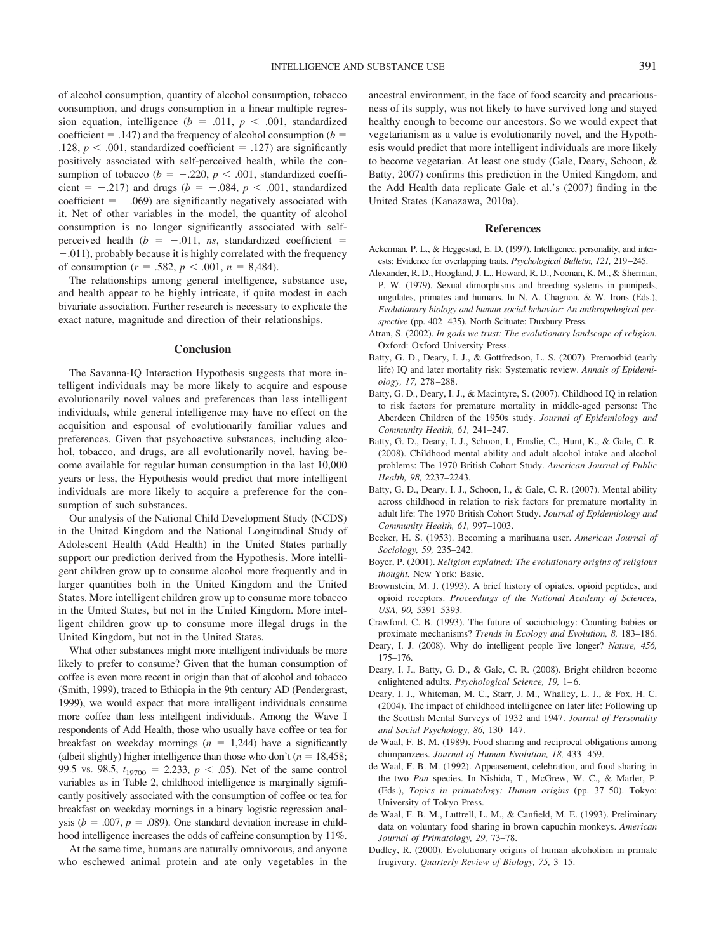of alcohol consumption, quantity of alcohol consumption, tobacco consumption, and drugs consumption in a linear multiple regression equation, intelligence ( $b = .011$ ,  $p < .001$ , standardized coefficient  $=$  .147) and the frequency of alcohol consumption ( $b =$ .128,  $p < .001$ , standardized coefficient  $= .127$ ) are significantly positively associated with self-perceived health, while the consumption of tobacco ( $b = -.220$ ,  $p < .001$ , standardized coefficient  $=$  -.217) and drugs ( $b = -0.084$ ,  $p < 0.001$ , standardized coefficient  $= -0.069$ ) are significantly negatively associated with it. Net of other variables in the model, the quantity of alcohol consumption is no longer significantly associated with selfperceived health  $(b = -.011, ns, standardized coefficient =$ -.011), probably because it is highly correlated with the frequency of consumption ( $r = .582$ ,  $p < .001$ ,  $n = 8,484$ ).

The relationships among general intelligence, substance use, and health appear to be highly intricate, if quite modest in each bivariate association. Further research is necessary to explicate the exact nature, magnitude and direction of their relationships.

#### **Conclusion**

The Savanna-IQ Interaction Hypothesis suggests that more intelligent individuals may be more likely to acquire and espouse evolutionarily novel values and preferences than less intelligent individuals, while general intelligence may have no effect on the acquisition and espousal of evolutionarily familiar values and preferences. Given that psychoactive substances, including alcohol, tobacco, and drugs, are all evolutionarily novel, having become available for regular human consumption in the last 10,000 years or less, the Hypothesis would predict that more intelligent individuals are more likely to acquire a preference for the consumption of such substances.

Our analysis of the National Child Development Study (NCDS) in the United Kingdom and the National Longitudinal Study of Adolescent Health (Add Health) in the United States partially support our prediction derived from the Hypothesis. More intelligent children grow up to consume alcohol more frequently and in larger quantities both in the United Kingdom and the United States. More intelligent children grow up to consume more tobacco in the United States, but not in the United Kingdom. More intelligent children grow up to consume more illegal drugs in the United Kingdom, but not in the United States.

What other substances might more intelligent individuals be more likely to prefer to consume? Given that the human consumption of coffee is even more recent in origin than that of alcohol and tobacco (Smith, 1999), traced to Ethiopia in the 9th century AD (Pendergrast, 1999), we would expect that more intelligent individuals consume more coffee than less intelligent individuals. Among the Wave I respondents of Add Health, those who usually have coffee or tea for breakfast on weekday mornings  $(n = 1,244)$  have a significantly (albeit slightly) higher intelligence than those who don't ( $n = 18,458$ ; 99.5 vs. 98.5,  $t_{19700} = 2.233$ ,  $p < .05$ ). Net of the same control variables as in Table 2, childhood intelligence is marginally significantly positively associated with the consumption of coffee or tea for breakfast on weekday mornings in a binary logistic regression analysis ( $b = .007$ ,  $p = .089$ ). One standard deviation increase in childhood intelligence increases the odds of caffeine consumption by 11%.

At the same time, humans are naturally omnivorous, and anyone who eschewed animal protein and ate only vegetables in the ancestral environment, in the face of food scarcity and precariousness of its supply, was not likely to have survived long and stayed healthy enough to become our ancestors. So we would expect that vegetarianism as a value is evolutionarily novel, and the Hypothesis would predict that more intelligent individuals are more likely to become vegetarian. At least one study (Gale, Deary, Schoon, & Batty, 2007) confirms this prediction in the United Kingdom, and the Add Health data replicate Gale et al.'s (2007) finding in the United States (Kanazawa, 2010a).

#### **References**

- Ackerman, P. L., & Heggestad, E. D. (1997). Intelligence, personality, and interests: Evidence for overlapping traits. *Psychological Bulletin, 121,* 219–245.
- Alexander, R. D., Hoogland, J. L., Howard, R. D., Noonan, K. M., & Sherman, P. W. (1979). Sexual dimorphisms and breeding systems in pinnipeds, ungulates, primates and humans. In N. A. Chagnon, & W. Irons (Eds.), *Evolutionary biology and human social behavior: An anthropological perspective* (pp. 402–435). North Scituate: Duxbury Press.
- Atran, S. (2002). *In gods we trust: The evolutionary landscape of religion.* Oxford: Oxford University Press.
- Batty, G. D., Deary, I. J., & Gottfredson, L. S. (2007). Premorbid (early life) IQ and later mortality risk: Systematic review. *Annals of Epidemiology, 17,* 278–288.
- Batty, G. D., Deary, I. J., & Macintyre, S. (2007). Childhood IQ in relation to risk factors for premature mortality in middle-aged persons: The Aberdeen Children of the 1950s study. *Journal of Epidemiology and Community Health, 61,* 241–247.
- Batty, G. D., Deary, I. J., Schoon, I., Emslie, C., Hunt, K., & Gale, C. R. (2008). Childhood mental ability and adult alcohol intake and alcohol problems: The 1970 British Cohort Study. *American Journal of Public Health, 98,* 2237–2243.
- Batty, G. D., Deary, I. J., Schoon, I., & Gale, C. R. (2007). Mental ability across childhood in relation to risk factors for premature mortality in adult life: The 1970 British Cohort Study. *Journal of Epidemiology and Community Health, 61,* 997–1003.
- Becker, H. S. (1953). Becoming a marihuana user. *American Journal of Sociology, 59,* 235–242.
- Boyer, P. (2001). *Religion explained: The evolutionary origins of religious thought.* New York: Basic.
- Brownstein, M. J. (1993). A brief history of opiates, opioid peptides, and opioid receptors. *Proceedings of the National Academy of Sciences, USA, 90,* 5391–5393.
- Crawford, C. B. (1993). The future of sociobiology: Counting babies or proximate mechanisms? *Trends in Ecology and Evolution, 8,* 183–186.
- Deary, I. J. (2008). Why do intelligent people live longer? *Nature, 456,* 175–176.
- Deary, I. J., Batty, G. D., & Gale, C. R. (2008). Bright children become enlightened adults. *Psychological Science, 19,* 1–6.
- Deary, I. J., Whiteman, M. C., Starr, J. M., Whalley, L. J., & Fox, H. C. (2004). The impact of childhood intelligence on later life: Following up the Scottish Mental Surveys of 1932 and 1947. *Journal of Personality and Social Psychology, 86,* 130–147.
- de Waal, F. B. M. (1989). Food sharing and reciprocal obligations among chimpanzees. *Journal of Human Evolution, 18,* 433–459.
- de Waal, F. B. M. (1992). Appeasement, celebration, and food sharing in the two *Pan* species. In Nishida, T., McGrew, W. C., & Marler, P. (Eds.), *Topics in primatology: Human origins* (pp. 37–50). Tokyo: University of Tokyo Press.
- de Waal, F. B. M., Luttrell, L. M., & Canfield, M. E. (1993). Preliminary data on voluntary food sharing in brown capuchin monkeys. *American Journal of Primatology, 29,* 73–78.
- Dudley, R. (2000). Evolutionary origins of human alcoholism in primate frugivory. *Quarterly Review of Biology, 75,* 3–15.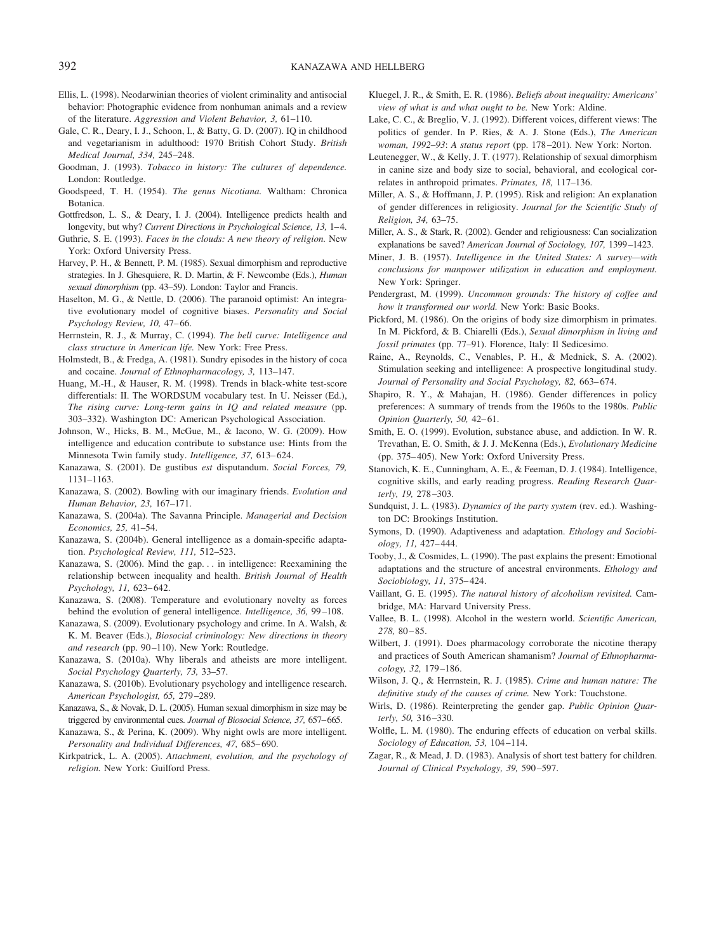- Ellis, L. (1998). Neodarwinian theories of violent criminality and antisocial behavior: Photographic evidence from nonhuman animals and a review of the literature. *Aggression and Violent Behavior, 3,* 61–110.
- Gale, C. R., Deary, I. J., Schoon, I., & Batty, G. D. (2007). IQ in childhood and vegetarianism in adulthood: 1970 British Cohort Study. *British Medical Journal, 334,* 245–248.
- Goodman, J. (1993). *Tobacco in history: The cultures of dependence.* London: Routledge.
- Goodspeed, T. H. (1954). *The genus Nicotiana.* Waltham: Chronica Botanica.
- Gottfredson, L. S., & Deary, I. J. (2004). Intelligence predicts health and longevity, but why? *Current Directions in Psychological Science, 13,* 1–4.
- Guthrie, S. E. (1993). *Faces in the clouds: A new theory of religion.* New York: Oxford University Press.
- Harvey, P. H., & Bennett, P. M. (1985). Sexual dimorphism and reproductive strategies. In J. Ghesquiere, R. D. Martin, & F. Newcombe (Eds.), *Human sexual dimorphism* (pp. 43–59). London: Taylor and Francis.
- Haselton, M. G., & Nettle, D. (2006). The paranoid optimist: An integrative evolutionary model of cognitive biases. *Personality and Social Psychology Review, 10,* 47–66.
- Herrnstein, R. J., & Murray, C. (1994). *The bell curve: Intelligence and class structure in American life.* New York: Free Press.
- Holmstedt, B., & Fredga, A. (1981). Sundry episodes in the history of coca and cocaine. *Journal of Ethnopharmacology, 3,* 113–147.
- Huang, M.-H., & Hauser, R. M. (1998). Trends in black-white test-score differentials: II. The WORDSUM vocabulary test. In U. Neisser (Ed.), *The rising curve: Long-term gains in IQ and related measure* (pp. 303–332). Washington DC: American Psychological Association.
- Johnson, W., Hicks, B. M., McGue, M., & Iacono, W. G. (2009). How intelligence and education contribute to substance use: Hints from the Minnesota Twin family study. *Intelligence, 37,* 613–624.
- Kanazawa, S. (2001). De gustibus *est* disputandum. *Social Forces, 79,* 1131–1163.
- Kanazawa, S. (2002). Bowling with our imaginary friends. *Evolution and Human Behavior, 23,* 167–171.
- Kanazawa, S. (2004a). The Savanna Principle. *Managerial and Decision Economics, 25,* 41–54.
- Kanazawa, S. (2004b). General intelligence as a domain-specific adaptation. *Psychological Review, 111,* 512–523.
- Kanazawa, S. (2006). Mind the gap. . . in intelligence: Reexamining the relationship between inequality and health. *British Journal of Health Psychology, 11,* 623–642.
- Kanazawa, S. (2008). Temperature and evolutionary novelty as forces behind the evolution of general intelligence. *Intelligence, 36,* 99–108.
- Kanazawa, S. (2009). Evolutionary psychology and crime. In A. Walsh, & K. M. Beaver (Eds.), *Biosocial criminology: New directions in theory and research* (pp. 90–110). New York: Routledge.
- Kanazawa, S. (2010a). Why liberals and atheists are more intelligent. *Social Psychology Quarterly, 73,* 33–57.
- Kanazawa, S. (2010b). Evolutionary psychology and intelligence research. *American Psychologist, 65,* 279–289.
- Kanazawa, S., & Novak, D. L. (2005). Human sexual dimorphism in size may be triggered by environmental cues. *Journal of Biosocial Science, 37,* 657–665.
- Kanazawa, S., & Perina, K. (2009). Why night owls are more intelligent. *Personality and Individual Differences, 47,* 685–690.
- Kirkpatrick, L. A. (2005). *Attachment, evolution, and the psychology of religion.* New York: Guilford Press.
- Kluegel, J. R., & Smith, E. R. (1986). *Beliefs about inequality: Americans' view of what is and what ought to be.* New York: Aldine.
- Lake, C. C., & Breglio, V. J. (1992). Different voices, different views: The politics of gender. In P. Ries, & A. J. Stone (Eds.), *The American woman, 1992*–*93*: *A status report* (pp. 178–201). New York: Norton.
- Leutenegger, W., & Kelly, J. T. (1977). Relationship of sexual dimorphism in canine size and body size to social, behavioral, and ecological correlates in anthropoid primates. *Primates, 18,* 117–136.
- Miller, A. S., & Hoffmann, J. P. (1995). Risk and religion: An explanation of gender differences in religiosity. *Journal for the Scientific Study of Religion, 34,* 63–75.
- Miller, A. S., & Stark, R. (2002). Gender and religiousness: Can socialization explanations be saved? *American Journal of Sociology, 107,* 1399–1423.
- Miner, J. B. (1957). *Intelligence in the United States: A survey—with conclusions for manpower utilization in education and employment.* New York: Springer.
- Pendergrast, M. (1999). *Uncommon grounds: The history of coffee and how it transformed our world.* New York: Basic Books.
- Pickford, M. (1986). On the origins of body size dimorphism in primates. In M. Pickford, & B. Chiarelli (Eds.), *Sexual dimorphism in living and fossil primates* (pp. 77–91). Florence, Italy: Il Sedicesimo.
- Raine, A., Reynolds, C., Venables, P. H., & Mednick, S. A. (2002). Stimulation seeking and intelligence: A prospective longitudinal study. *Journal of Personality and Social Psychology, 82,* 663–674.
- Shapiro, R. Y., & Mahajan, H. (1986). Gender differences in policy preferences: A summary of trends from the 1960s to the 1980s. *Public Opinion Quarterly, 50,* 42–61.
- Smith, E. O. (1999). Evolution, substance abuse, and addiction. In W. R. Trevathan, E. O. Smith, & J. J. McKenna (Eds.), *Evolutionary Medicine* (pp. 375–405). New York: Oxford University Press.
- Stanovich, K. E., Cunningham, A. E., & Feeman, D. J. (1984). Intelligence, cognitive skills, and early reading progress. *Reading Research Quarterly, 19,* 278–303.
- Sundquist, J. L. (1983). *Dynamics of the party system* (rev. ed.). Washington DC: Brookings Institution.
- Symons, D. (1990). Adaptiveness and adaptation. *Ethology and Sociobiology, 11,* 427–444.
- Tooby, J., & Cosmides, L. (1990). The past explains the present: Emotional adaptations and the structure of ancestral environments. *Ethology and Sociobiology, 11,* 375–424.
- Vaillant, G. E. (1995). *The natural history of alcoholism revisited.* Cambridge, MA: Harvard University Press.
- Vallee, B. L. (1998). Alcohol in the western world. *Scientific American, 278,* 80–85.
- Wilbert, J. (1991). Does pharmacology corroborate the nicotine therapy and practices of South American shamanism? *Journal of Ethnopharmacology, 32,* 179–186.
- Wilson, J. Q., & Herrnstein, R. J. (1985). *Crime and human nature: The definitive study of the causes of crime.* New York: Touchstone.
- Wirls, D. (1986). Reinterpreting the gender gap. *Public Opinion Quarterly, 50,* 316–330.
- Wolfle, L. M. (1980). The enduring effects of education on verbal skills. *Sociology of Education, 53,* 104–114.
- Zagar, R., & Mead, J. D. (1983). Analysis of short test battery for children. *Journal of Clinical Psychology, 39,* 590–597.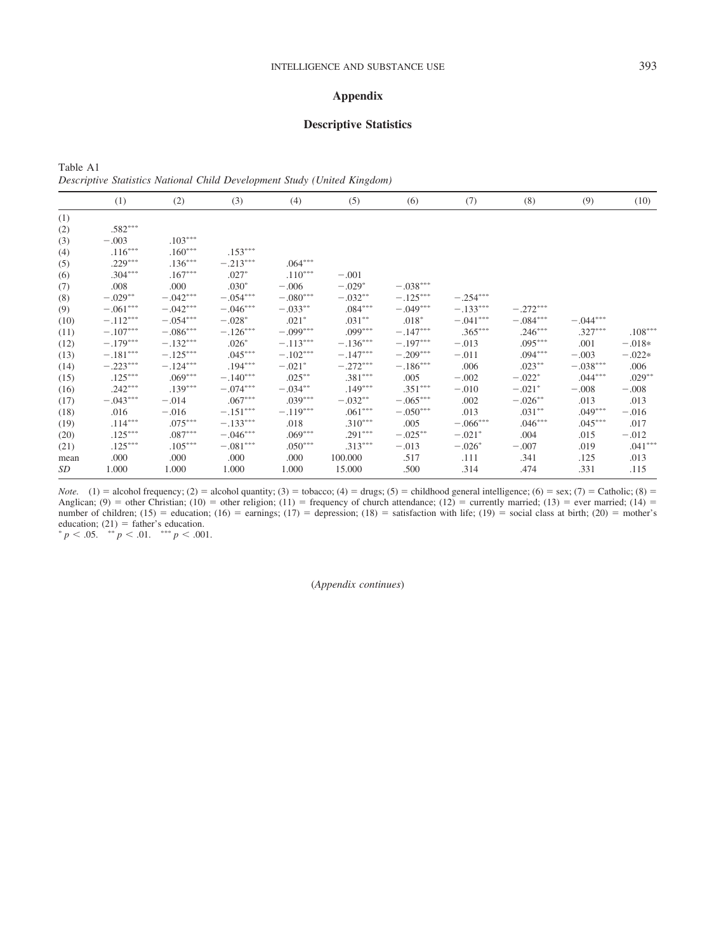# **Appendix**

# **Descriptive Statistics**

Table A1 *Descriptive Statistics National Child Development Study (United Kingdom)*

|      | (1)        | (2)        | (3)        | (4)        | (5)        | (6)        | (7)        | (8)        | (9)        | (10)      |
|------|------------|------------|------------|------------|------------|------------|------------|------------|------------|-----------|
| (1)  |            |            |            |            |            |            |            |            |            |           |
| (2)  | .582***    |            |            |            |            |            |            |            |            |           |
| (3)  | $-.003$    | $.103***$  |            |            |            |            |            |            |            |           |
| (4)  | $.116***$  | $.160***$  | $.153***$  |            |            |            |            |            |            |           |
| (5)  | $.229***$  | $.136***$  | $-.213***$ | $.064***$  |            |            |            |            |            |           |
| (6)  | $.304***$  | $.167***$  | $.027*$    | $.110***$  | $-.001$    |            |            |            |            |           |
| (7)  | .008       | .000       | $.030*$    | $-.006$    | $-.029*$   | $-.038***$ |            |            |            |           |
| (8)  | $-.029**$  | $-.042***$ | $-.054***$ | $-.080***$ | $-.032**$  | $-.125***$ | $-.254***$ |            |            |           |
| (9)  | $-.061***$ | $-.042***$ | $-.046***$ | $-.033***$ | $.084***$  | $-.049***$ | $-.133***$ | $-.272***$ |            |           |
| (10) | $-.112***$ | $-.054***$ | $-.028*$   | $.021*$    | $.031***$  | $.018^*$   | $-.041***$ | $-.084***$ | $-.044***$ |           |
| (11) | $-.107***$ | $-.086***$ | $-.126***$ | $-.099***$ | $.099***$  | $-.147***$ | $.365***$  | $.246***$  | $.327***$  | $.108***$ |
| (12) | $-.179***$ | $-.132***$ | $.026*$    | $-.113***$ | $-.136***$ | $-.197***$ | $-.013$    | $.095***$  | .001       | $-.018*$  |
| (13) | $-.181***$ | $-.125***$ | $.045***$  | $-.102***$ | $-.147***$ | $-.209***$ | $-.011$    | $.094***$  | $-.003$    | $-.022*$  |
| (14) | $-.223***$ | $-.124***$ | $.194***$  | $-.021*$   | $-.272***$ | $-.186***$ | .006       | $.023***$  | $-.038***$ | .006      |
| (15) | $.125***$  | $.069***$  | $-.140***$ | $.025***$  | $.381***$  | .005       | $-.002$    | $-.022*$   | $.044***$  | $.029**$  |
| (16) | $.242***$  | $.139***$  | $-.074***$ | $-.034**$  | $.149***$  | $.351***$  | $-.010$    | $-.021*$   | $-.008$    | $-.008$   |
| (17) | $-.043***$ | $-.014$    | $.067***$  | $.039***$  | $-.032**$  | $-.065***$ | .002       | $-.026**$  | .013       | .013      |
| (18) | .016       | $-.016$    | $-.151***$ | $-.119***$ | $.061***$  | $-.050***$ | .013       | $.031***$  | $.049***$  | $-.016$   |
| (19) | $.114***$  | $.075***$  | $-.133***$ | .018       | $.310***$  | .005       | $-.066***$ | $.046***$  | $.045***$  | .017      |
| (20) | $.125***$  | $.087***$  | $-.046***$ | $.069***$  | $.291***$  | $-.025***$ | $-.021*$   | .004       | .015       | $-.012$   |
| (21) | $.125***$  | $.105***$  | $-.081***$ | $.050***$  | $.313***$  | $-.013$    | $-.026*$   | $-.007$    | .019       | $.041***$ |
| mean | .000       | .000       | .000       | .000       | 100.000    | .517       | .111       | .341       | .125       | .013      |
| SD   | 1.000      | 1.000      | 1.000      | 1.000      | 15.000     | .500       | .314       | .474       | .331       | .115      |

*Note.* (1) = alcohol frequency; (2) = alcohol quantity; (3) = tobacco; (4) = drugs; (5) = childhood general intelligence; (6) = sex; (7) = Catholic; (8) = Anglican; (9) = other Christian; (10) = other religion; (11) = frequency of church attendance; (12) = currently married; (13) = ever married; (14) = number of children; (15) = education; (16) = earnings; (17) = depression; (18) = satisfaction with life; (19) = social class at birth; (20) = mother's education; (21) = father's education.<br>  ${}^*p < .05.$   ${}^{**}p < .01.$   ${}^{***}p < .001.$ 

(*Appendix continues*)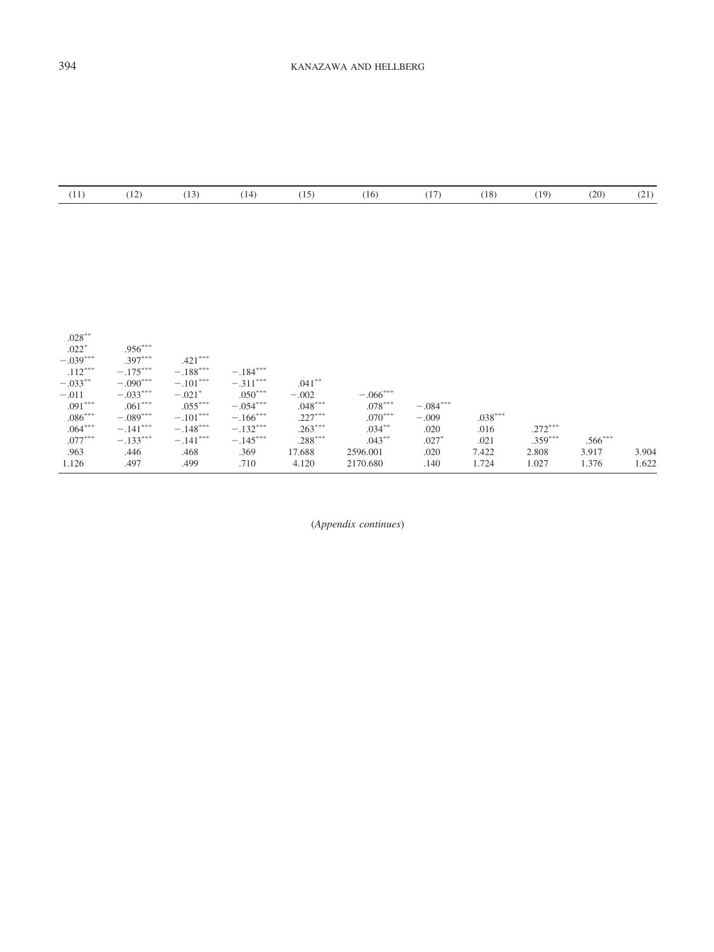| 11 | $\sim$<br>. 14 | . . | $\mathcal{A}$ | $\sim$<br>. LU | $\sim$ | 18 | 10. | (20) | $($ $\cap$ $\Box$ |
|----|----------------|-----|---------------|----------------|--------|----|-----|------|-------------------|
|    |                |     |               |                | . .    |    | . . |      | - -               |

| $.028***$  |            |            |            |           |            |            |           |           |           |       |
|------------|------------|------------|------------|-----------|------------|------------|-----------|-----------|-----------|-------|
| $.022*$    | $.956***$  |            |            |           |            |            |           |           |           |       |
| $-.039***$ | $.397***$  | $.421***$  |            |           |            |            |           |           |           |       |
| $.112***$  | $-.175***$ | $-.188***$ | $-.184***$ |           |            |            |           |           |           |       |
| $-.033**$  | $-.090***$ | $-.101***$ | $-.311***$ | $.041***$ |            |            |           |           |           |       |
| $-.011$    | $-.033***$ | $-.021*$   | $.050***$  | $-.002$   | $-.066***$ |            |           |           |           |       |
| $.091***$  | $.061***$  | $.055***$  | $-.054***$ | $.048***$ | $.078***$  | $-.084***$ |           |           |           |       |
| $.086***$  | $-.089***$ | $-.101***$ | $-.166***$ | $.227***$ | $.070***$  | $-.009$    | $.038***$ |           |           |       |
| $.064***$  | $-.141***$ | $-.148***$ | $-.132***$ | $.263***$ | $.034***$  | .020       | .016      | $.272***$ |           |       |
| $.077***$  | $-.133***$ | $-.141***$ | $-.145***$ | $.288***$ | $.043**$   | $.027*$    | .021      | $.359***$ | $.566***$ |       |
| .963       | .446       | .468       | .369       | 17.688    | 2596.001   | .020       | 7.422     | 2.808     | 3.917     | 3.904 |
| 1.126      | .497       | .499       | .710       | 4.120     | 2170.680   | .140       | 1.724     | 1.027     | 1.376     | 1.622 |

(*Appendix continues*)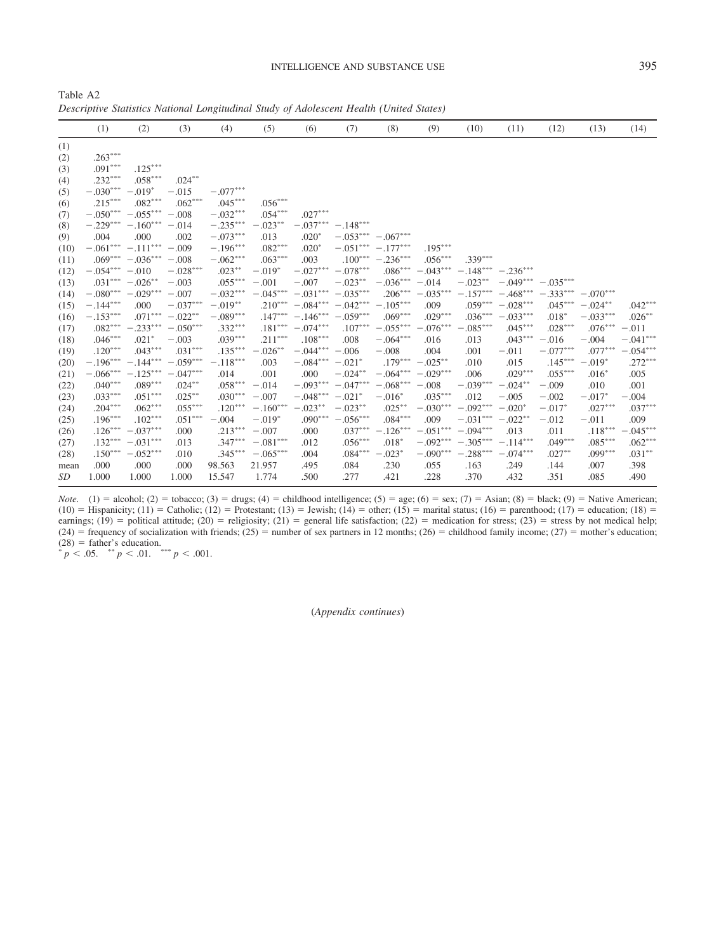| Table A2 |  |                                                                                         |  |  |  |
|----------|--|-----------------------------------------------------------------------------------------|--|--|--|
|          |  | Descriptive Statistics National Longitudinal Study of Adolescent Health (United States) |  |  |  |

|      | (1)             | (2)        | (3)        | (4)                   | (5)        | (6)        | (7)                    | (8)          | (9)        | (10)                   | (11)       | (12)                  | (13)       | (14)       |
|------|-----------------|------------|------------|-----------------------|------------|------------|------------------------|--------------|------------|------------------------|------------|-----------------------|------------|------------|
| (1)  |                 |            |            |                       |            |            |                        |              |            |                        |            |                       |            |            |
| (2)  | $.263***$       |            |            |                       |            |            |                        |              |            |                        |            |                       |            |            |
| (3)  | $.091***$       | $.125***$  |            |                       |            |            |                        |              |            |                        |            |                       |            |            |
| (4)  | $.232***$       | $.058***$  | $.024***$  |                       |            |            |                        |              |            |                        |            |                       |            |            |
| (5)  | $-.030***$      | $-.019*$   | $-.015$    | $-.077***$            |            |            |                        |              |            |                        |            |                       |            |            |
| (6)  | $.215***$       | $.082***$  | $.062***$  | $.045***$             | $.056***$  |            |                        |              |            |                        |            |                       |            |            |
| (7)  | $-.050^{***}\,$ | $-.055***$ | $-.008$    | $-.032***$            | $.054***$  | $.027***$  |                        |              |            |                        |            |                       |            |            |
| (8)  | $-.229***$      | $-.160***$ | $-.014$    | $-.235***$            | $-.023**$  | $-.037***$ | $-.148***$             |              |            |                        |            |                       |            |            |
| (9)  | .004            | .000       | .002       | $-.073***$            | .013       | $.020*$    | $-.053***$             | $-.067***$   |            |                        |            |                       |            |            |
| (10) | $-.061***$      | $-.111***$ | $-.009$    | $-.196***$            | $.082***$  | $.020*$    | $-.051***$             | $-.177***$   | $.195***$  |                        |            |                       |            |            |
| (11) | $.069***$       | $-.036***$ | $-.008$    | $-.062***$            | $.063***$  | .003       | $.100***$              | $-.236***$   | $.056***$  | $.339***$              |            |                       |            |            |
| (12) | $-.054***$      | $-.010$    | $-.028***$ | $.023***$             | $-.019*$   | $-.027***$ | $-.078^{\ast\ast\ast}$ | $.086^{***}$ | $-.043***$ | $-.148***$             | $-.236***$ |                       |            |            |
| (13) | $.031***$       | $-.026***$ | $-.003$    | $.055***$             | $-.001$    | $-.007$    | $-.023**$              | $-.036***$   | $-.014$    | $-.023**$              |            | $-.049***$ $-.035***$ |            |            |
| (14) | $-.080***$      | $-.029***$ | $-.007$    | $-.032***$            | $-.045***$ | $-.031***$ | $-.035***$             | $.206***$    | $-.035***$ | $-.157***$             | $-.468***$ | $-.333***$            | $-.070***$ |            |
| (15) | $-.144***$      | .000       | $-.037***$ | $-.019**$             | $.210***$  | $-.084***$ | $-.042***$             | $-.105***$   | .009       | $.059***$              | $-.028***$ | $.045***$             | $-.024**$  | $.042***$  |
| (16) | $-.153***$      | $.071***$  | $-.022**$  | $-.089***$            | $.147***$  | $-.146***$ | $-.059***$             | $.069***$    | $.029***$  | $.036***$              | $-.033***$ | $.018*$               | $-.033***$ | $.026***$  |
| (17) | $.082***$       | $-.233***$ | $-.050***$ | $.332***$             | $.181***$  | $-.074***$ | $.107***$              | $-.055***$   | $-.076***$ | $-.085***$             | $.045***$  | $.028***$             | $.076***$  | $-.011$    |
| (18) | $.046***$       | $.021*$    | $-.003$    | $.039***$             | $.211***$  | $.108***$  | .008                   | $-.064***$   | .016       | .013                   | $.043***$  | $-.016$               | $-.004$    | $-.041***$ |
| (19) | $.120***$       | $.043***$  | $.031***$  | $.135***$             | $-.026**$  | $-.044***$ | $-.006$                | $-.008$      | .004       | .001                   | $-.011$    | $-.077***$            | $.077***$  | $-.054***$ |
| (20) | $-.196***$      | $-.144***$ | $-.059***$ | $-.118***$            | .003       | $-.084***$ | $-.021*$               | $.179***$    | $-.025***$ | .010                   | .015       | $.145***$             | $-.019*$   | $.272***$  |
| (21) | $-.066***$      | $-.125***$ | $-.047***$ | .014                  | .001       | .000       | $-.024**$              | $-.064***$   | $-.029***$ | .006                   | $.029***$  | $.055***$             | $.016*$    | .005       |
| (22) | $.040***$       | $.089***$  | $.024***$  | $.058^{\ast\ast\ast}$ | $-.014$    | $-.093***$ | $-.047***$             | $-.068***$   | $-.008$    | $-.039***$             | $-.024**$  | $-.009$               | .010       | .001       |
| (23) | $.033***$       | $.051***$  | $.025***$  | $.030***$             | $-.007$    | $-.048***$ | $-.021*$               | $-.016*$     | $.035***$  | .012                   | $-.005$    | $-.002$               | $-.017*$   | $-.004$    |
| (24) | $.204***$       | $.062***$  | $.055***$  | $.120***$             | $-.160***$ | $-.023**$  | $-.023**$              | $.025***$    | $-.030***$ | $-.092***$             | $-.020*$   | $-.017*$              | $.027***$  | $.037***$  |
| (25) | $.196***$       | $.102***$  | $.051***$  | $-.004$               | $-.019*$   | $.090***$  | $-.056***$             | $.084***$    | .009       | $-.031***$             | $-.022**$  | $-.012$               | $-.011$    | .009       |
| (26) | $.126***$       | $-.037***$ | .000       | $.213***$             | $-.007$    | .000       | $.037***$              | $-.126***$   | $-.051***$ | $-.094***$             | .013       | .011                  | $.118***$  | $-.045***$ |
| (27) | $.132***$       | $-.031***$ | .013       | $.347***$             | $-.081***$ | .012       | $.056***$              | $.018*$      | $-.092***$ | $-.305***$             | $-.114***$ | $.049***$             | $.085***$  | $.062***$  |
| (28) | $.150***$       | $-.052***$ | .010       | $.345***$             | $-.065***$ | .004       | $.084***$              | $-.023*$     | $-.090***$ | $-.288^{\ast\ast\ast}$ | $-.074***$ | $.027**$              | $.099***$  | $.031***$  |
| mean | .000            | .000       | .000       | 98.563                | 21.957     | .495       | .084                   | .230         | .055       | .163                   | .249       | .144                  | .007       | .398       |
| SD   | 1.000           | 1.000      | 1.000      | 15.547                | 1.774      | .500       | .277                   | .421         | .228       | .370                   | .432       | .351                  | .085       | .490       |

*Note.* (1) = alcohol; (2) = tobacco; (3) = drugs; (4) = childhood intelligence; (5) = age; (6) = sex; (7) = Asian; (8) = black; (9) = Native American;  $(10)$  = Hispanicity;  $(11)$  = Catholic;  $(12)$  = Protestant;  $(13)$  = Jewish;  $(14)$  = other;  $(15)$  = marital status;  $(16)$  = parenthood;  $(17)$  = education;  $(18)$  = earnings; (19) = political attitude; (20) = religiosity; (21) = general life satisfaction; (22) = medication for stress; (23) = stress by not medical help;  $(24)$  = frequency of socialization with friends;  $(25)$  = number of sex partners in 12 months;  $(26)$  = childhood family income;  $(27)$  = mother's education; (28) = father's education.<br>  ${}^*p < .05.$   ${}^{**}p < .01.$   ${}^{***}p < .001.$ 

(*Appendix continues*)